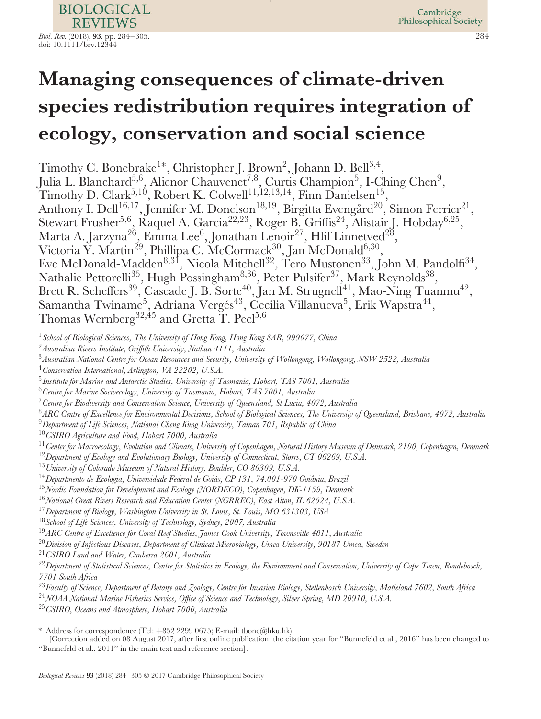**REVIEWS** *Biol. Rev.* (2018), **93**, pp. 284–305. 284 doi: 10.1111/brv.12344

**BIOLOGICAL** 

# **Managing consequences of climate-driven species redistribution requires integration of ecology, conservation and social science**

Timothy C. Bonebrake<sup>1∗</sup>, Christopher J. Brown<sup>2</sup>, Johann D. Bell<sup>3,4</sup>, Julia L. Blanchard<sup>5,6</sup>, Alienor Chauvenet<sup>7,8</sup>, Curtis Champion<sup>5</sup>, I-Ching Chen<sup>9</sup>, Timothy D. Clark<sup>5,10</sup>, Robert K. Colwell<sup>11,12,13,14</sup>, Finn Danielsen<sup>15</sup>, Anthony I. Dell<sup>16,17</sup>, Jennifer M. Donelson<sup>18,19</sup>, Birgitta Evengård<sup>20</sup>, Simon Ferrier<sup>21</sup>, Stewart Frusher<sup>5,6</sup>, Raquel A. Garcia<sup>22,23</sup>, Roger B. Griffis<sup>24</sup>, Alistair J. Hobday<sup>6,25</sup>, Marta A. Jarzyna $^{26}$ , Emma Lee $^6$ , Jonathan Lenoir $^{27}$ , Hlif Linnetved $^{28},$ Victoria Y. Martin<sup>29</sup>, Phillipa C. McCormack<sup>30</sup>, Jan McDonald<sup>6,30</sup>, Eve McDonald-Madden $^{8,31}$ , Nicola Mitchell $^{32}$ , Tero Mustonen $^{33}$ , John M. Pandolfi $^{34}$ , Nathalie Pettorelli<sup>35</sup>, Hugh Possingham $^{8,36}$ , Peter Pulsifer $^{37}$ , Mark Reynolds $^{38}$ , Brett R. Scheffers<sup>39</sup>, Cascade J. B. Sorte<sup>40</sup>, Jan M. Strugnell<sup>41</sup>, Mao-Ning Tuanmu<sup>42</sup>, Samantha Twiname<sup>5</sup>, Adriana Vergés<sup>43</sup>, Cecilia Villanueva<sup>5</sup>, Erik Wapstra<sup>44</sup>, Thomas Wernberg<sup>32,45</sup> and Gretta T. Pecl<sup>5,6</sup>

- <sup>1</sup>*School of Biological Sciences, The University of Hong Kong, Hong Kong SAR, 999077, China*
- <sup>2</sup>*Australian Rivers Institute, Griffith University, Nathan 4111, Australia*
- <sup>3</sup>*Australian National Centre for Ocean Resources and Security, University of Wollongong, Wollongong, NSW 2522, Australia*
- <sup>4</sup>*Conservation International, Arlington, VA 22202, U.S.A.*
- <sup>5</sup>*Institute for Marine and Antarctic Studies, University of Tasmania, Hobart, TAS 7001, Australia*
- <sup>6</sup>*Centre for Marine Socioecology, University of Tasmania, Hobart, TAS 7001, Australia*
- <sup>7</sup>*Centre for Biodiversity and Conservation Science, University of Queensland, St Lucia, 4072, Australia*
- <sup>8</sup>*ARC Centre of Excellence for Environmental Decisions, School of Biological Sciences, The University of Queensland, Brisbane, 4072, Australia*
- <sup>9</sup>*Department of Life Sciences, National Cheng Kung University, Tainan 701, Republic of China*
- <sup>10</sup>*CSIRO Agriculture and Food, Hobart 7000, Australia*
- <sup>11</sup>*Center for Macroecology, Evolution and Climate, University of Copenhagen, Natural History Museum of Denmark, 2100, Copenhagen, Denmark*
- <sup>12</sup>*Department of Ecology and Evolutionary Biology, University of Connecticut, Storrs, CT 06269, U.S.A.*
- <sup>13</sup>*University of Colorado Museum of Natural History, Boulder, CO 80309, U.S.A.*
- <sup>14</sup> Departmento de Ecologia, Universidade Federal de Goiás, CP 131, 74.001-970 Goiânia, Brazil
- <sup>15</sup>*Nordic Foundation for Development and Ecology (NORDECO), Copenhagen, DK-1159, Denmark*
- <sup>16</sup>*National Great Rivers Research and Education Center (NGRREC), East Alton, IL 62024, U.S.A.*
- <sup>17</sup>*Department of Biology, Washington University in St. Louis, St. Louis, MO 631303, USA*
- <sup>18</sup>*School of Life Sciences, University of Technology, Sydney, 2007, Australia*
- <sup>19</sup>*ARC Centre of Excellence for Coral Reef Studies, James Cook University, Townsville 4811, Australia*
- <sup>20</sup>*Division of Infectious Diseases, Department of Clinical Microbiology, Umea University, 90187 Umea, Sweden*
- <sup>21</sup>*CSIRO Land and Water, Canberra 2601, Australia*

<sup>22</sup>*Department of Statistical Sciences, Centre for Statistics in Ecology, the Environment and Conservation, University of Cape Town, Rondebosch, 7701 South Africa*

<sup>23</sup>*Faculty of Science, Department of Botany and Zoology, Centre for Invasion Biology, Stellenbosch University, Matieland 7602, South Africa* <sup>24</sup>*NOAA National Marine Fisheries Service, Office of Science and Technology, Silver Spring, MD 20910, U.S.A.*

<sup>25</sup>*CSIRO, Oceans and Atmosphere, Hobart 7000, Australia*

Address for correspondence (Tel: +852 2299 0675; E-mail: tbone@hku.hk)

<sup>[</sup>Correction added on 08 August 2017, after first online publication: the citation year for ''Bunnefeld et al., 2016'' has been changed to ''Bunnefeld et al., 2011'' in the main text and reference section].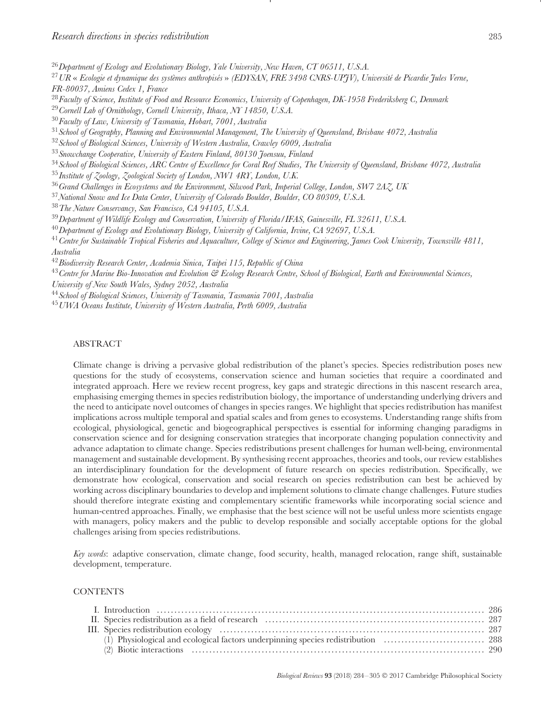<sup>26</sup>*Department of Ecology and Evolutionary Biology, Yale University, New Haven, CT 06511, U.S.A.*

- <sup>27</sup> UR « Ecologie et dynamique des systèmes anthropisés » *(EDYSAN, FRE 3498 CNRS-UPJV), Université de Picardie Jules Verne*, *FR-80037, Amiens Cedex 1, France*
- <sup>28</sup>*Faculty of Science, Institute of Food and Resource Economics, University of Copenhagen, DK-1958 Frederiksberg C, Denmark*
- <sup>29</sup>*Cornell Lab of Ornithology, Cornell University, Ithaca, NY 14850, U.S.A.*
- <sup>30</sup>*Faculty of Law, University of Tasmania, Hobart, 7001, Australia*
- <sup>31</sup>*School of Geography, Planning and Environmental Management, The University of Queensland, Brisbane 4072, Australia*
- <sup>32</sup>*School of Biological Sciences, University of Western Australia, Crawley 6009, Australia*
- <sup>33</sup>*Snowchange Cooperative, University of Eastern Finland, 80130 Joensuu, Finland*
- <sup>34</sup>*School of Biological Sciences, ARC Centre of Excellence for Coral Reef Studies, The University of Queensland, Brisbane 4072, Australia*
- <sup>35</sup>*Institute of Zoology, Zoological Society of London, NW1 4RY, London, U.K.*
- <sup>36</sup>*Grand Challenges in Ecosystems and the Environment, Silwood Park, Imperial College, London, SW7 2AZ, UK*
- <sup>37</sup>*National Snow and Ice Data Center, University of Colorado Boulder, Boulder, CO 80309, U.S.A.*
- <sup>38</sup>*The Nature Conservancy, San Francisco, CA 94105, U.S.A.*
- <sup>39</sup>*Department of Wildlife Ecology and Conservation, University of Florida/IFAS, Gainesville, FL 32611, U.S.A.*
- <sup>40</sup>*Department of Ecology and Evolutionary Biology, University of California, Irvine, CA 92697, U.S.A.*
- <sup>41</sup>*Centre for Sustainable Tropical Fisheries and Aquaculture, College of Science and Engineering, James Cook University, Townsville 4811, Australia*
- <sup>42</sup>*Biodiversity Research Center, Academia Sinica, Taipei 115, Republic of China*
- <sup>43</sup>*Centre for Marine Bio-Innovation and Evolution & Ecology Research Centre, School of Biological, Earth and Environmental Sciences,*
- *University of New South Wales, Sydney 2052, Australia*
- <sup>44</sup>*School of Biological Sciences, University of Tasmania, Tasmania 7001, Australia*
- <sup>45</sup>*UWA Oceans Institute, University of Western Australia, Perth 6009, Australia*

# ABSTRACT

Climate change is driving a pervasive global redistribution of the planet's species. Species redistribution poses new questions for the study of ecosystems, conservation science and human societies that require a coordinated and integrated approach. Here we review recent progress, key gaps and strategic directions in this nascent research area, emphasising emerging themes in species redistribution biology, the importance of understanding underlying drivers and the need to anticipate novel outcomes of changes in species ranges. We highlight that species redistribution has manifest implications across multiple temporal and spatial scales and from genes to ecosystems. Understanding range shifts from ecological, physiological, genetic and biogeographical perspectives is essential for informing changing paradigms in conservation science and for designing conservation strategies that incorporate changing population connectivity and advance adaptation to climate change. Species redistributions present challenges for human well-being, environmental management and sustainable development. By synthesising recent approaches, theories and tools, our review establishes an interdisciplinary foundation for the development of future research on species redistribution. Specifically, we demonstrate how ecological, conservation and social research on species redistribution can best be achieved by working across disciplinary boundaries to develop and implement solutions to climate change challenges. Future studies should therefore integrate existing and complementary scientific frameworks while incorporating social science and human-centred approaches. Finally, we emphasise that the best science will not be useful unless more scientists engage with managers, policy makers and the public to develop responsible and socially acceptable options for the global challenges arising from species redistributions.

*Key words*: adaptive conservation, climate change, food security, health, managed relocation, range shift, sustainable development, temperature.

## **CONTENTS**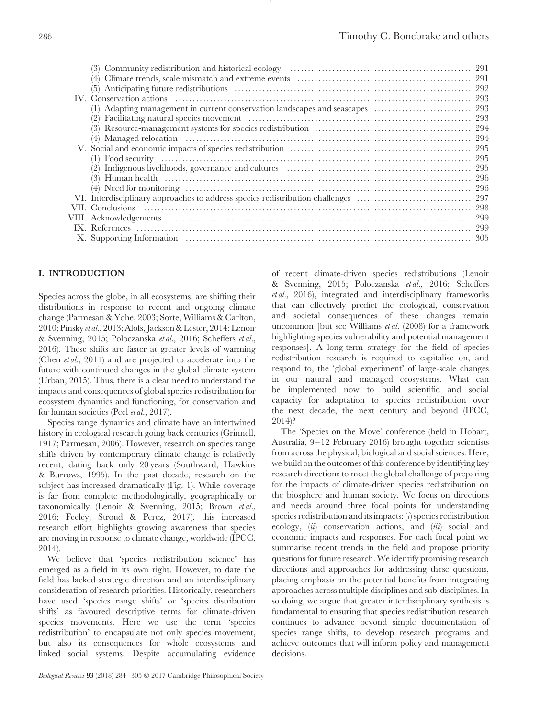| (3) Community redistribution and historical ecology (a) contain the content of the set of the set of the set of the set of the set of the set of the set of the set of the set of the set of the set of the set of the set of |  |
|-------------------------------------------------------------------------------------------------------------------------------------------------------------------------------------------------------------------------------|--|
|                                                                                                                                                                                                                               |  |
|                                                                                                                                                                                                                               |  |
|                                                                                                                                                                                                                               |  |
|                                                                                                                                                                                                                               |  |
|                                                                                                                                                                                                                               |  |
|                                                                                                                                                                                                                               |  |
|                                                                                                                                                                                                                               |  |
|                                                                                                                                                                                                                               |  |
|                                                                                                                                                                                                                               |  |
|                                                                                                                                                                                                                               |  |
|                                                                                                                                                                                                                               |  |
|                                                                                                                                                                                                                               |  |
|                                                                                                                                                                                                                               |  |
|                                                                                                                                                                                                                               |  |
|                                                                                                                                                                                                                               |  |
|                                                                                                                                                                                                                               |  |
|                                                                                                                                                                                                                               |  |
|                                                                                                                                                                                                                               |  |

# <span id="page-2-0"></span>**I. INTRODUCTION**

Species across the globe, in all ecosystems, are shifting their distributions in response to recent and ongoing climate change (Parmesan & Yohe, 2003; Sorte, Williams & Carlton, 2010; Pinsky *et al.,* 2013; Alofs, Jackson & Lester, 2014; Lenoir & Svenning, 2015; Poloczanska *et al.,* 2016; Scheffers *et al.,* 2016). These shifts are faster at greater levels of warming (Chen *et al.,* 2011) and are projected to accelerate into the future with continued changes in the global climate system (Urban, 2015). Thus, there is a clear need to understand the impacts and consequences of global species redistribution for ecosystem dynamics and functioning, for conservation and for human societies (Pecl *et al.,* 2017).

Species range dynamics and climate have an intertwined history in ecological research going back centuries (Grinnell, 1917; Parmesan, 2006). However, research on species range shifts driven by contemporary climate change is relatively recent, dating back only 20 years (Southward, Hawkins & Burrows, 1995). In the past decade, research on the subject has increased dramatically (Fig. 1). While coverage is far from complete methodologically, geographically or taxonomically (Lenoir & Svenning, 2015; Brown *et al.,* 2016; Feeley, Stroud & Perez, 2017), this increased research effort highlights growing awareness that species are moving in response to climate change, worldwide (IPCC, 2014).

We believe that 'species redistribution science' has emerged as a field in its own right. However, to date the field has lacked strategic direction and an interdisciplinary consideration of research priorities. Historically, researchers have used 'species range shifts' or 'species distribution shifts' as favoured descriptive terms for climate-driven species movements. Here we use the term 'species redistribution' to encapsulate not only species movement, but also its consequences for whole ecosystems and linked social systems. Despite accumulating evidence of recent climate-driven species redistributions (Lenoir & Svenning, 2015; Poloczanska *et al.,* 2016; Scheffers *et al.,* 2016), integrated and interdisciplinary frameworks that can effectively predict the ecological, conservation and societal consequences of these changes remain uncommon [but see Williams *et al.* (2008) for a framework highlighting species vulnerability and potential management responses]. A long-term strategy for the field of species redistribution research is required to capitalise on, and respond to, the 'global experiment' of large-scale changes in our natural and managed ecosystems. What can be implemented now to build scientific and social capacity for adaptation to species redistribution over the next decade, the next century and beyond (IPCC, 2014)?

The 'Species on the Move' conference (held in Hobart, Australia, 9–12 February 2016) brought together scientists from across the physical, biological and social sciences. Here, we build on the outcomes of this conference by identifying key research directions to meet the global challenge of preparing for the impacts of climate-driven species redistribution on the biosphere and human society. We focus on directions and needs around three focal points for understanding species redistribution and its impacts: (*i*) species redistribution ecology, (*ii*) conservation actions, and (*iii*) social and economic impacts and responses. For each focal point we summarise recent trends in the field and propose priority questions for future research. We identify promising research directions and approaches for addressing these questions, placing emphasis on the potential benefits from integrating approaches across multiple disciplines and sub-disciplines. In so doing, we argue that greater interdisciplinary synthesis is fundamental to ensuring that species redistribution research continues to advance beyond simple documentation of species range shifts, to develop research programs and achieve outcomes that will inform policy and management decisions.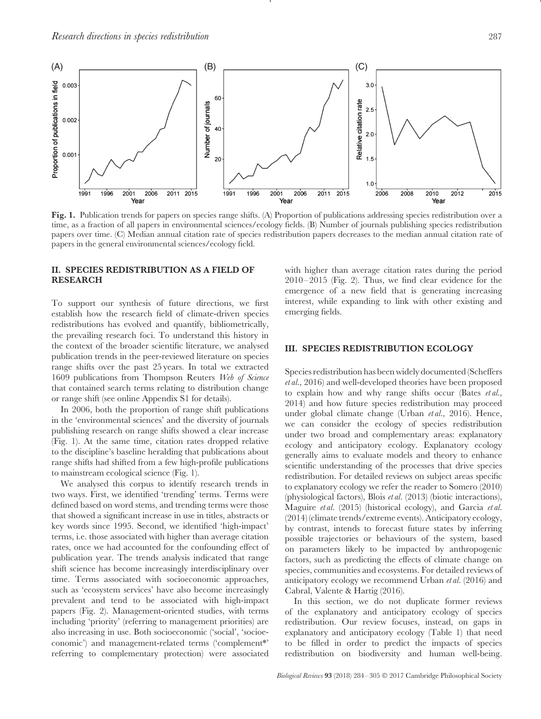

**Fig. 1.** Publication trends for papers on species range shifts. (A) Proportion of publications addressing species redistribution over a time, as a fraction of all papers in environmental sciences/ecology fields. (B) Number of journals publishing species redistribution papers over time. (C) Median annual citation rate of species redistribution papers decreases to the median annual citation rate of papers in the general environmental sciences/ecology field.

# <span id="page-3-0"></span>**II. SPECIES REDISTRIBUTION AS A FIELD OF RESEARCH**

To support our synthesis of future directions, we first establish how the research field of climate-driven species redistributions has evolved and quantify, bibliometrically, the prevailing research foci. To understand this history in the context of the broader scientific literature, we analysed publication trends in the peer-reviewed literature on species range shifts over the past 25 years. In total we extracted 1609 publications from Thompson Reuters *Web of Science* that contained search terms relating to distribution change or range shift (see online Appendix S1 for details).

In 2006, both the proportion of range shift publications in the 'environmental sciences' and the diversity of journals publishing research on range shifts showed a clear increase (Fig. 1). At the same time, citation rates dropped relative to the discipline's baseline heralding that publications about range shifts had shifted from a few high-profile publications to mainstream ecological science (Fig. 1).

We analysed this corpus to identify research trends in two ways. First, we identified 'trending' terms. Terms were defined based on word stems, and trending terms were those that showed a significant increase in use in titles, abstracts or key words since 1995. Second, we identified 'high-impact' terms, i.e. those associated with higher than average citation rates, once we had accounted for the confounding effect of publication year. The trends analysis indicated that range shift science has become increasingly interdisciplinary over time. Terms associated with socioeconomic approaches, such as 'ecosystem services' have also become increasingly prevalent and tend to be associated with high-impact papers (Fig. 2). Management-oriented studies, with terms including 'priority' (referring to management priorities) are also increasing in use. Both socioeconomic ('social', 'socioeconomic') and management-related terms ('complement\*' referring to complementary protection) were associated

with higher than average citation rates during the period 2010–2015 (Fig. 2). Thus, we find clear evidence for the emergence of a new field that is generating increasing interest, while expanding to link with other existing and emerging fields.

# <span id="page-3-1"></span>**III. SPECIES REDISTRIBUTION ECOLOGY**

Species redistribution has been widely documented (Scheffers *et al.,* 2016) and well-developed theories have been proposed to explain how and why range shifts occur (Bates *et al.,* 2014) and how future species redistribution may proceed under global climate change (Urban *et al.,* 2016). Hence, we can consider the ecology of species redistribution under two broad and complementary areas: explanatory ecology and anticipatory ecology. Explanatory ecology generally aims to evaluate models and theory to enhance scientific understanding of the processes that drive species redistribution. For detailed reviews on subject areas specific to explanatory ecology we refer the reader to Somero (2010) (physiological factors), Blois *et al.* (2013) (biotic interactions), Maguire *et al.* (2015) (historical ecology), and Garcia *et al.* (2014) (climate trends/extreme events). Anticipatory ecology, by contrast, intends to forecast future states by inferring possible trajectories or behaviours of the system, based on parameters likely to be impacted by anthropogenic factors, such as predicting the effects of climate change on species, communities and ecosystems. For detailed reviews of anticipatory ecology we recommend Urban *et al.* (2016) and Cabral, Valente & Hartig (2016).

In this section, we do not duplicate former reviews of the explanatory and anticipatory ecology of species redistribution. Our review focuses, instead, on gaps in explanatory and anticipatory ecology (Table 1) that need to be filled in order to predict the impacts of species redistribution on biodiversity and human well-being.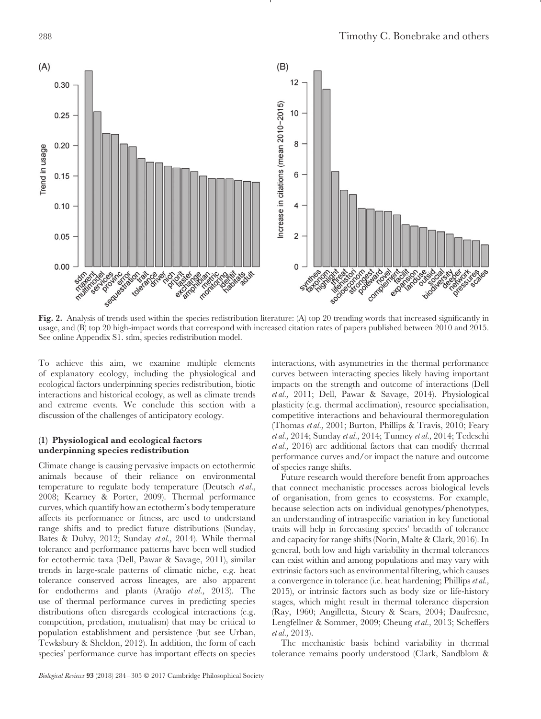

**Fig. 2.** Analysis of trends used within the species redistribution literature: (A) top 20 trending words that increased significantly in usage, and (B) top 20 high-impact words that correspond with increased citation rates of papers published between 2010 and 2015. See online Appendix S1. sdm, species redistribution model.

To achieve this aim, we examine multiple elements of explanatory ecology, including the physiological and ecological factors underpinning species redistribution, biotic interactions and historical ecology, as well as climate trends and extreme events. We conclude this section with a discussion of the challenges of anticipatory ecology.

# <span id="page-4-0"></span>**(1) Physiological and ecological factors underpinning species redistribution**

Climate change is causing pervasive impacts on ectothermic animals because of their reliance on environmental temperature to regulate body temperature (Deutsch *et al.,* 2008; Kearney & Porter, 2009). Thermal performance curves, which quantify how an ectotherm's body temperature affects its performance or fitness, are used to understand range shifts and to predict future distributions (Sunday, Bates & Dulvy, 2012; Sunday *et al.,* 2014). While thermal tolerance and performance patterns have been well studied for ectothermic taxa (Dell, Pawar & Savage, 2011), similar trends in large-scale patterns of climatic niche, e.g. heat tolerance conserved across lineages, are also apparent for endotherms and plants (Ara´ujo *et al.,* 2013). The use of thermal performance curves in predicting species distributions often disregards ecological interactions (e.g. competition, predation, mutualism) that may be critical to population establishment and persistence (but see Urban, Tewksbury & Sheldon, 2012). In addition, the form of each species' performance curve has important effects on species interactions, with asymmetries in the thermal performance curves between interacting species likely having important impacts on the strength and outcome of interactions (Dell *et al.,* 2011; Dell, Pawar & Savage, 2014). Physiological plasticity (e.g. thermal acclimation), resource specialisation, competitive interactions and behavioural thermoregulation (Thomas *et al.,* 2001; Burton, Phillips & Travis, 2010; Feary *et al.,* 2014; Sunday *et al.,* 2014; Tunney *et al.,* 2014; Tedeschi *et al.,* 2016) are additional factors that can modify thermal performance curves and/or impact the nature and outcome of species range shifts.

Future research would therefore benefit from approaches that connect mechanistic processes across biological levels of organisation, from genes to ecosystems. For example, because selection acts on individual genotypes/phenotypes, an understanding of intraspecific variation in key functional traits will help in forecasting species' breadth of tolerance and capacity for range shifts (Norin, Malte & Clark, 2016). In general, both low and high variability in thermal tolerances can exist within and among populations and may vary with extrinsic factors such as environmental filtering, which causes a convergence in tolerance (i.e. heat hardening; Phillips *et al.,* 2015), or intrinsic factors such as body size or life-history stages, which might result in thermal tolerance dispersion (Ray, 1960; Angilletta, Steury & Sears, 2004; Daufresne, Lengfellner & Sommer, 2009; Cheung *et al.,* 2013; Scheffers *et al.,* 2013).

The mechanistic basis behind variability in thermal tolerance remains poorly understood (Clark, Sandblom &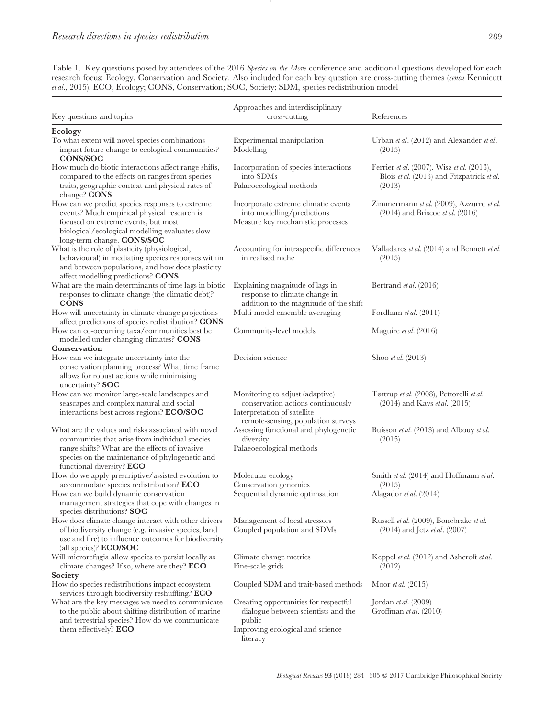Table 1. Key questions posed by attendees of the 2016 *Species on the Move* conference and additional questions developed for each research focus: Ecology, Conservation and Society. Also included for each key question are cross-cutting themes (*sensu* Kennicutt *et al.,* 2015). ECO, Ecology; CONS, Conservation; SOC, Society; SDM, species redistribution model

| Key questions and topics                                                                                                                                                                                                               | Approaches and interdisciplinary<br>cross-cutting                                                                                         | References                                                                                         |
|----------------------------------------------------------------------------------------------------------------------------------------------------------------------------------------------------------------------------------------|-------------------------------------------------------------------------------------------------------------------------------------------|----------------------------------------------------------------------------------------------------|
| Ecology                                                                                                                                                                                                                                |                                                                                                                                           |                                                                                                    |
| To what extent will novel species combinations<br>impact future change to ecological communities?<br><b>CONS/SOC</b>                                                                                                                   | Experimental manipulation<br>Modelling                                                                                                    | Urban et al. (2012) and Alexander et al.<br>(2015)                                                 |
| How much do biotic interactions affect range shifts,<br>compared to the effects on ranges from species<br>traits, geographic context and physical rates of<br>change? CONS                                                             | Incorporation of species interactions<br>into SDMs<br>Palaeoecological methods                                                            | Ferrier et al. (2007), Wisz et al. (2013),<br>Blois et al. (2013) and Fitzpatrick et al.<br>(2013) |
| How can we predict species responses to extreme<br>events? Much empirical physical research is<br>focused on extreme events, but most<br>biological/ecological modelling evaluates slow<br>long-term change. CONS/SOC                  | Incorporate extreme climatic events<br>into modelling/predictions<br>Measure key mechanistic processes                                    | Zimmermann et al. (2009), Azzurro et al.<br>$(2014)$ and Briscoe <i>et al.</i> $(2016)$            |
| What is the role of plasticity (physiological,<br>behavioural) in mediating species responses within<br>and between populations, and how does plasticity<br>affect modelling predictions? CONS                                         | Accounting for intraspecific differences<br>in realised niche                                                                             | Valladares et al. (2014) and Bennett et al.<br>(2015)                                              |
| What are the main determinants of time lags in biotic<br>responses to climate change (the climatic debt)?<br><b>CONS</b>                                                                                                               | Explaining magnitude of lags in<br>response to climate change in<br>addition to the magnitude of the shift                                | Bertrand et al. (2016)                                                                             |
| How will uncertainty in climate change projections<br>affect predictions of species redistribution? CONS                                                                                                                               | Multi-model ensemble averaging                                                                                                            | Fordham <i>et al.</i> $(2011)$                                                                     |
| How can co-occurring taxa/communities best be<br>modelled under changing climates? CONS<br>Conservation                                                                                                                                | Community-level models                                                                                                                    | Maguire et al. (2016)                                                                              |
| How can we integrate uncertainty into the<br>conservation planning process? What time frame<br>allows for robust actions while minimising<br>uncertainty? SOC                                                                          | Decision science                                                                                                                          | Shoo et al. (2013)                                                                                 |
| How can we monitor large-scale landscapes and<br>seascapes and complex natural and social<br>interactions best across regions? ECO/SOC                                                                                                 | Monitoring to adjust (adaptive)<br>conservation actions continuously<br>Interpretation of satellite<br>remote-sensing, population surveys | Tøttrup et al. (2008), Pettorelli et al.<br>$(2014)$ and Kays <i>et al.</i> $(2015)$               |
| What are the values and risks associated with novel<br>communities that arise from individual species<br>range shifts? What are the effects of invasive<br>species on the maintenance of phylogenetic and<br>functional diversity? ECO | Assessing functional and phylogenetic<br>diversity<br>Palaeoecological methods                                                            | Buisson et al. (2013) and Albouy et al.<br>(2015)                                                  |
| How do we apply prescriptive/assisted evolution to<br>accommodate species redistribution? ECO<br>How can we build dynamic conservation                                                                                                 | Molecular ecology<br>Conservation genomics<br>Sequential dynamic optimsation                                                              | Smith et al. (2014) and Hoffmann et al.<br>(2015)<br>Alagador et al. (2014)                        |
| management strategies that cope with changes in<br>species distributions? SOC                                                                                                                                                          |                                                                                                                                           |                                                                                                    |
| How does climate change interact with other drivers<br>of biodiversity change (e.g. invasive species, land<br>use and fire) to influence outcomes for biodiversity<br>(all species)? <b>ECO/SOC</b>                                    | Management of local stressors<br>Coupled population and SDMs                                                                              | Russell et al. (2009), Bonebrake et al.<br>$(2014)$ and Jetz <i>et al.</i> $(2007)$                |
| Will microrefugia allow species to persist locally as<br>climate changes? If so, where are they? $ECO$<br>Society                                                                                                                      | Climate change metrics<br>Fine-scale grids                                                                                                | Keppel <i>et al.</i> (2012) and Ashcroft <i>et al.</i><br>(2012)                                   |
| How do species redistributions impact ecosystem<br>services through biodiversity reshuffling? ECO                                                                                                                                      | Coupled SDM and trait-based methods                                                                                                       | Moor <i>et al.</i> $(2015)$                                                                        |
| What are the key messages we need to communicate<br>to the public about shifting distribution of marine<br>and terrestrial species? How do we communicate<br>them effectively? ECO                                                     | Creating opportunities for respectful<br>dialogue between scientists and the<br>public<br>Improving ecological and science<br>literacy    | Jordan et al. $(2009)$<br>Groffman et al. (2010)                                                   |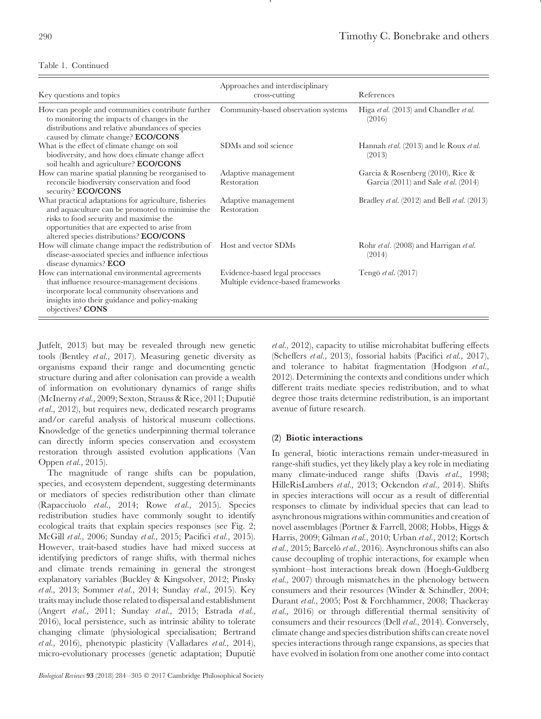# Table 1. Continued

| Key questions and topics                                                                                                                                                                                                                        | Approaches and interdisciplinary<br>cross-cutting                    | References                                                                           |
|-------------------------------------------------------------------------------------------------------------------------------------------------------------------------------------------------------------------------------------------------|----------------------------------------------------------------------|--------------------------------------------------------------------------------------|
| How can people and communities contribute further<br>to monitoring the impacts of changes in the<br>distributions and relative abundances of species<br>caused by climate change? ECO/CONS                                                      | Community-based observation systems                                  | Higa et al. (2013) and Chandler et al.<br>(2016)                                     |
| What is the effect of climate change on soil<br>biodiversity, and how does climate change affect<br>soil health and agriculture? ECO/CONS                                                                                                       | SDM <sub>s</sub> and soil science                                    | Hannah et al. (2013) and le Roux et al.<br>(2013)                                    |
| How can marine spatial planning be reorganised to<br>reconcile biodiversity conservation and food<br>security? ECO/CONS                                                                                                                         | Adaptive management<br>Restoration                                   | Garcia & Rosenberg (2010), Rice &<br>Garcia $(2011)$ and Sale <i>et al.</i> $(2014)$ |
| What practical adaptations for agriculture, fisheries<br>and aquaculture can be promoted to minimise the<br>risks to food security and maximise the<br>opportunities that are expected to arise from<br>altered species distributions? ECO/CONS | Adaptive management<br>Restoration                                   | Bradley <i>et al.</i> $(2012)$ and Bell <i>et al.</i> $(2013)$                       |
| How will climate change impact the redistribution of<br>disease-associated species and influence infectious<br>disease dynamics? ECO                                                                                                            | Host and vector SDMs                                                 | Rohr et al. (2008) and Harrigan et al.<br>(2014)                                     |
| How can international environmental agreements<br>that influence resource-management decisions<br>incorporate local community observations and<br>insights into their guidance and policy-making<br>objectives? CONS                            | Evidence-based legal processes<br>Multiple evidence-based frameworks | Tengö et al. (2017)                                                                  |

Jutfelt, 2013) but may be revealed through new genetic tools (Bentley *et al.,* 2017). Measuring genetic diversity as organisms expand their range and documenting genetic structure during and after colonisation can provide a wealth of information on evolutionary dynamics of range shifts (McInerny *et al.,* 2009; Sexton, Strauss & Rice, 2011; Duputie´ *et al.,* 2012), but requires new, dedicated research programs and/or careful analysis of historical museum collections. Knowledge of the genetics underpinning thermal tolerance can directly inform species conservation and ecosystem restoration through assisted evolution applications (Van Oppen *et al.,* 2015).

The magnitude of range shifts can be population, species, and ecosystem dependent, suggesting determinants or mediators of species redistribution other than climate (Rapacciuolo *et al.,* 2014; Rowe *et al.,* 2015). Species redistribution studies have commonly sought to identify ecological traits that explain species responses (see Fig. 2; McGill *et al.,* 2006; Sunday *et al.,* 2015; Pacifici *et al.,* 2015). However, trait-based studies have had mixed success at identifying predictors of range shifts, with thermal niches and climate trends remaining in general the strongest explanatory variables (Buckley & Kingsolver, 2012; Pinsky *et al.,* 2013; Sommer *et al.,* 2014; Sunday *et al.,* 2015). Key traits may include those related to dispersal and establishment (Angert *et al.,* 2011; Sunday *et al.,* 2015; Estrada *et al.,* 2016), local persistence, such as intrinsic ability to tolerate changing climate (physiological specialisation; Bertrand *et al.,* 2016), phenotypic plasticity (Valladares *et al.,* 2014), micro-evolutionary processes (genetic adaptation; Duputie´ *et al.,* 2012), capacity to utilise microhabitat buffering effects (Scheffers *et al.,* 2013), fossorial habits (Pacifici *et al.,* 2017), and tolerance to habitat fragmentation (Hodgson *et al.,* 2012). Determining the contexts and conditions under which different traits mediate species redistribution, and to what degree those traits determine redistribution, is an important avenue of future research.

## <span id="page-6-0"></span>**(2) Biotic interactions**

In general, biotic interactions remain under-measured in range-shift studies, yet they likely play a key role in mediating many climate-induced range shifts (Davis *et al.,* 1998; HilleRisLambers *et al.,* 2013; Ockendon *et al.,* 2014). Shifts in species interactions will occur as a result of differential responses to climate by individual species that can lead to asynchronous migrations within communities and creation of novel assemblages (Pörtner & Farrell, 2008; Hobbs, Higgs & Harris, 2009; Gilman *et al.,* 2010; Urban *et al.,* 2012; Kortsch *et al.*, 2015; Barceló *et al.*, 2016). Asynchronous shifts can also cause decoupling of trophic interactions, for example when symbiont–host interactions break down (Hoegh-Guldberg *et al.,* 2007) through mismatches in the phenology between consumers and their resources (Winder & Schindler, 2004; Durant *et al.,* 2005; Post & Forchhammer, 2008; Thackeray *et al.,* 2016) or through differential thermal sensitivity of consumers and their resources (Dell *et al.,* 2014). Conversely, climate change and species distribution shifts can create novel species interactions through range expansions, as species that have evolved in isolation from one another come into contact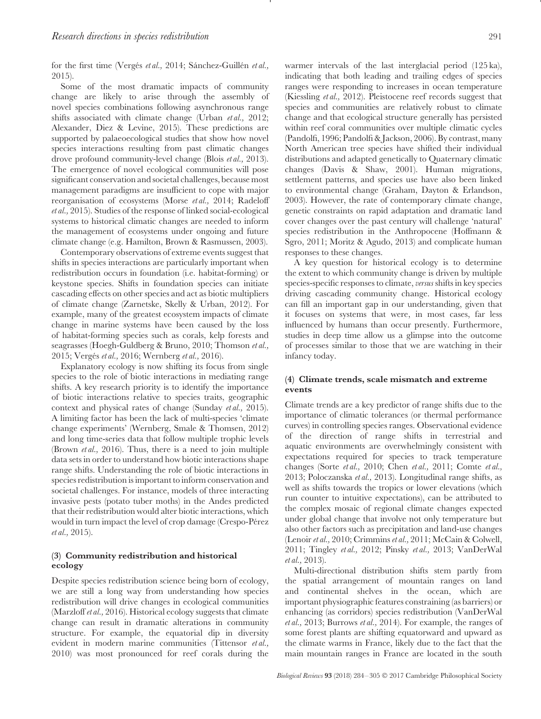for the first time (Vergés *et al.*, 2014; Sánchez-Guillén *et al.*, 2015).

Some of the most dramatic impacts of community change are likely to arise through the assembly of novel species combinations following asynchronous range shifts associated with climate change (Urban *et al.,* 2012; Alexander, Diez & Levine, 2015). These predictions are supported by palaeoecological studies that show how novel species interactions resulting from past climatic changes drove profound community-level change (Blois *et al.,* 2013). The emergence of novel ecological communities will pose significant conservation and societal challenges, because most management paradigms are insufficient to cope with major reorganisation of ecosystems (Morse *et al.,* 2014; Radeloff *et al.,* 2015). Studies of the response of linked social-ecological systems to historical climatic changes are needed to inform the management of ecosystems under ongoing and future climate change (e.g. Hamilton, Brown & Rasmussen, 2003).

Contemporary observations of extreme events suggest that shifts in species interactions are particularly important when redistribution occurs in foundation (i.e. habitat-forming) or keystone species. Shifts in foundation species can initiate cascading effects on other species and act as biotic multipliers of climate change (Zarnetske, Skelly & Urban, 2012). For example, many of the greatest ecosystem impacts of climate change in marine systems have been caused by the loss of habitat-forming species such as corals, kelp forests and seagrasses (Hoegh-Guldberg & Bruno, 2010; Thomson *et al.,* 2015; Verges´ *et al.,* 2016; Wernberg *et al.,* 2016).

Explanatory ecology is now shifting its focus from single species to the role of biotic interactions in mediating range shifts. A key research priority is to identify the importance of biotic interactions relative to species traits, geographic context and physical rates of change (Sunday *et al.,* 2015). A limiting factor has been the lack of multi-species 'climate change experiments' (Wernberg, Smale & Thomsen, 2012) and long time-series data that follow multiple trophic levels (Brown *et al.,* 2016). Thus, there is a need to join multiple data sets in order to understand how biotic interactions shape range shifts. Understanding the role of biotic interactions in species redistribution is important to inform conservation and societal challenges. For instance, models of three interacting invasive pests (potato tuber moths) in the Andes predicted that their redistribution would alter biotic interactions, which would in turn impact the level of crop damage (Crespo-Pérez *et al.,* 2015).

## <span id="page-7-0"></span>**(3) Community redistribution and historical ecology**

Despite species redistribution science being born of ecology, we are still a long way from understanding how species redistribution will drive changes in ecological communities (Marzloff *et al.,* 2016). Historical ecology suggests that climate change can result in dramatic alterations in community structure. For example, the equatorial dip in diversity evident in modern marine communities (Tittensor *et al.,* 2010) was most pronounced for reef corals during the warmer intervals of the last interglacial period (125 ka), indicating that both leading and trailing edges of species ranges were responding to increases in ocean temperature (Kiessling *et al.,* 2012). Pleistocene reef records suggest that species and communities are relatively robust to climate change and that ecological structure generally has persisted within reef coral communities over multiple climatic cycles (Pandolfi, 1996; Pandolfi & Jackson, 2006). By contrast, many North American tree species have shifted their individual distributions and adapted genetically to Quaternary climatic changes (Davis & Shaw, 2001). Human migrations, settlement patterns, and species use have also been linked to environmental change (Graham, Dayton & Erlandson, 2003). However, the rate of contemporary climate change, genetic constraints on rapid adaptation and dramatic land cover changes over the past century will challenge 'natural' species redistribution in the Anthropocene (Hoffmann & Sgro, 2011; Moritz & Agudo, 2013) and complicate human responses to these changes.

A key question for historical ecology is to determine the extent to which community change is driven by multiple species-specific responses to climate,*versus* shifts in key species driving cascading community change. Historical ecology can fill an important gap in our understanding, given that it focuses on systems that were, in most cases, far less influenced by humans than occur presently. Furthermore, studies in deep time allow us a glimpse into the outcome of processes similar to those that we are watching in their infancy today.

## <span id="page-7-1"></span>**(4) Climate trends, scale mismatch and extreme events**

Climate trends are a key predictor of range shifts due to the importance of climatic tolerances (or thermal performance curves) in controlling species ranges. Observational evidence of the direction of range shifts in terrestrial and aquatic environments are overwhelmingly consistent with expectations required for species to track temperature changes (Sorte *et al.,* 2010; Chen *et al.,* 2011; Comte *et al.,* 2013; Poloczanska *et al.,* 2013). Longitudinal range shifts, as well as shifts towards the tropics or lower elevations (which run counter to intuitive expectations), can be attributed to the complex mosaic of regional climate changes expected under global change that involve not only temperature but also other factors such as precipitation and land-use changes (Lenoir *et al.,* 2010; Crimmins *et al.,* 2011; McCain & Colwell, 2011; Tingley *et al.,* 2012; Pinsky *et al.,* 2013; VanDerWal *et al.,* 2013).

Multi-directional distribution shifts stem partly from the spatial arrangement of mountain ranges on land and continental shelves in the ocean, which are important physiographic features constraining (as barriers) or enhancing (as corridors) species redistribution (VanDerWal *et al.,* 2013; Burrows *et al.,* 2014). For example, the ranges of some forest plants are shifting equatorward and upward as the climate warms in France, likely due to the fact that the main mountain ranges in France are located in the south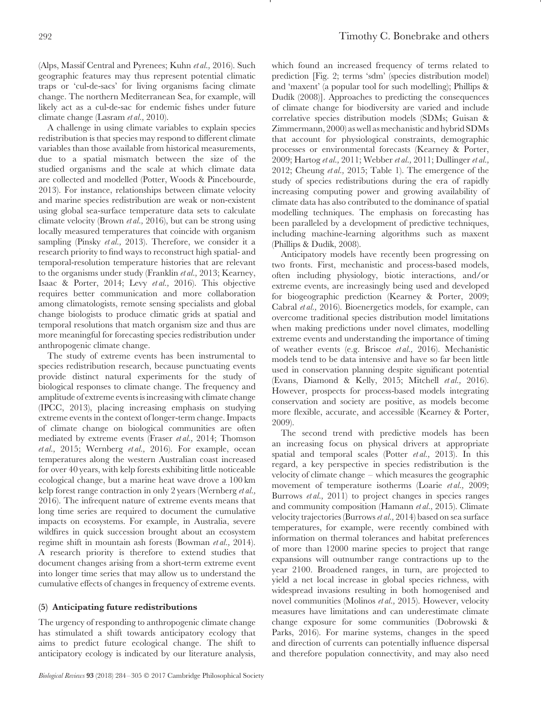(Alps, Massif Central and Pyrenees; Kuhn *et al.,* 2016). Such geographic features may thus represent potential climatic traps or 'cul-de-sacs' for living organisms facing climate change. The northern Mediterranean Sea, for example, will likely act as a cul-de-sac for endemic fishes under future climate change (Lasram *et al.,* 2010).

A challenge in using climate variables to explain species redistribution is that species may respond to different climate variables than those available from historical measurements, due to a spatial mismatch between the size of the studied organisms and the scale at which climate data are collected and modelled (Potter, Woods & Pincebourde, 2013). For instance, relationships between climate velocity and marine species redistribution are weak or non-existent using global sea-surface temperature data sets to calculate climate velocity (Brown *et al.,* 2016), but can be strong using locally measured temperatures that coincide with organism sampling (Pinsky *et al.,* 2013). Therefore, we consider it a research priority to find ways to reconstruct high spatial- and temporal-resolution temperature histories that are relevant to the organisms under study (Franklin *et al.,* 2013; Kearney, Isaac & Porter, 2014; Levy *et al.,* 2016). This objective requires better communication and more collaboration among climatologists, remote sensing specialists and global change biologists to produce climatic grids at spatial and temporal resolutions that match organism size and thus are more meaningful for forecasting species redistribution under anthropogenic climate change.

The study of extreme events has been instrumental to species redistribution research, because punctuating events provide distinct natural experiments for the study of biological responses to climate change. The frequency and amplitude of extreme events is increasing with climate change (IPCC, 2013), placing increasing emphasis on studying extreme events in the context of longer-term change. Impacts of climate change on biological communities are often mediated by extreme events (Fraser *et al.,* 2014; Thomson *et al.,* 2015; Wernberg *et al.,* 2016). For example, ocean temperatures along the western Australian coast increased for over 40 years, with kelp forests exhibiting little noticeable ecological change, but a marine heat wave drove a 100 km kelp forest range contraction in only 2 years (Wernberg *et al.,* 2016). The infrequent nature of extreme events means that long time series are required to document the cumulative impacts on ecosystems. For example, in Australia, severe wildfires in quick succession brought about an ecosystem regime shift in mountain ash forests (Bowman *et al.,* 2014). A research priority is therefore to extend studies that document changes arising from a short-term extreme event into longer time series that may allow us to understand the cumulative effects of changes in frequency of extreme events.

#### <span id="page-8-0"></span>**(5) Anticipating future redistributions**

The urgency of responding to anthropogenic climate change has stimulated a shift towards anticipatory ecology that aims to predict future ecological change. The shift to anticipatory ecology is indicated by our literature analysis, which found an increased frequency of terms related to prediction [Fig. 2; terms 'sdm' (species distribution model) and 'maxent' (a popular tool for such modelling); Phillips & Dudík (2008)]. Approaches to predicting the consequences of climate change for biodiversity are varied and include correlative species distribution models (SDMs; Guisan & Zimmermann, 2000) as well as mechanistic and hybrid SDMs that account for physiological constraints, demographic processes or environmental forecasts (Kearney & Porter, 2009; Hartog *et al.,* 2011; Webber *et al.,* 2011; Dullinger *et al.,* 2012; Cheung *et al.,* 2015; Table 1). The emergence of the study of species redistributions during the era of rapidly increasing computing power and growing availability of climate data has also contributed to the dominance of spatial modelling techniques. The emphasis on forecasting has been paralleled by a development of predictive techniques, including machine-learning algorithms such as maxent (Phillips & Dudík, 2008).

Anticipatory models have recently been progressing on two fronts. First, mechanistic and process-based models, often including physiology, biotic interactions, and/or extreme events, are increasingly being used and developed for biogeographic prediction (Kearney & Porter, 2009; Cabral *et al.,* 2016). Bioenergetics models, for example, can overcome traditional species distribution model limitations when making predictions under novel climates, modelling extreme events and understanding the importance of timing of weather events (e.g. Briscoe *et al.,* 2016). Mechanistic models tend to be data intensive and have so far been little used in conservation planning despite significant potential (Evans, Diamond & Kelly, 2015; Mitchell *et al.,* 2016). However, prospects for process-based models integrating conservation and society are positive, as models become more flexible, accurate, and accessible (Kearney & Porter, 2009).

The second trend with predictive models has been an increasing focus on physical drivers at appropriate spatial and temporal scales (Potter *et al.,* 2013). In this regard, a key perspective in species redistribution is the velocity of climate change – which measures the geographic movement of temperature isotherms (Loarie *et al.,* 2009; Burrows *et al.*, 2011) to project changes in species ranges and community composition (Hamann *et al.,* 2015). Climate velocity trajectories (Burrows *et al.,* 2014) based on sea surface temperatures, for example, were recently combined with information on thermal tolerances and habitat preferences of more than 12000 marine species to project that range expansions will outnumber range contractions up to the year 2100. Broadened ranges, in turn, are projected to yield a net local increase in global species richness, with widespread invasions resulting in both homogenised and novel communities (Molinos *et al.,* 2015). However, velocity measures have limitations and can underestimate climate change exposure for some communities (Dobrowski & Parks, 2016). For marine systems, changes in the speed and direction of currents can potentially influence dispersal and therefore population connectivity, and may also need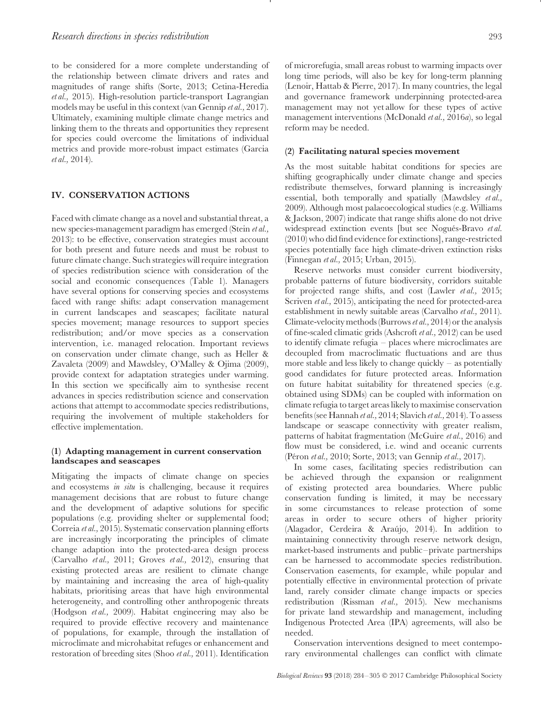to be considered for a more complete understanding of the relationship between climate drivers and rates and magnitudes of range shifts (Sorte, 2013; Cetina-Heredia *et al.,* 2015). High-resolution particle-transport Lagrangian models may be useful in this context (van Gennip *et al.,* 2017). Ultimately, examining multiple climate change metrics and linking them to the threats and opportunities they represent for species could overcome the limitations of individual metrics and provide more-robust impact estimates (Garcia *et al.,* 2014).

## <span id="page-9-0"></span>**IV. CONSERVATION ACTIONS**

Faced with climate change as a novel and substantial threat, a new species-management paradigm has emerged (Stein *et al.,* 2013): to be effective, conservation strategies must account for both present and future needs and must be robust to future climate change. Such strategies will require integration of species redistribution science with consideration of the social and economic consequences (Table 1). Managers have several options for conserving species and ecosystems faced with range shifts: adapt conservation management in current landscapes and seascapes; facilitate natural species movement; manage resources to support species redistribution; and/or move species as a conservation intervention, i.e. managed relocation. Important reviews on conservation under climate change, such as Heller & Zavaleta (2009) and Mawdsley, O'Malley & Ojima (2009), provide context for adaptation strategies under warming. In this section we specifically aim to synthesise recent advances in species redistribution science and conservation actions that attempt to accommodate species redistributions, requiring the involvement of multiple stakeholders for effective implementation.

## <span id="page-9-1"></span>**(1) Adapting management in current conservation landscapes and seascapes**

Mitigating the impacts of climate change on species and ecosystems *in situ* is challenging, because it requires management decisions that are robust to future change and the development of adaptive solutions for specific populations (e.g. providing shelter or supplemental food; Correia *et al.,* 2015). Systematic conservation planning efforts are increasingly incorporating the principles of climate change adaption into the protected-area design process (Carvalho *et al.,* 2011; Groves *et al.,* 2012), ensuring that existing protected areas are resilient to climate change by maintaining and increasing the area of high-quality habitats, prioritising areas that have high environmental heterogeneity, and controlling other anthropogenic threats (Hodgson *et al.,* 2009). Habitat engineering may also be required to provide effective recovery and maintenance of populations, for example, through the installation of microclimate and microhabitat refuges or enhancement and restoration of breeding sites (Shoo *et al.,* 2011). Identification

of microrefugia, small areas robust to warming impacts over long time periods, will also be key for long-term planning (Lenoir, Hattab & Pierre, 2017). In many countries, the legal and governance framework underpinning protected-area management may not yet allow for these types of active management interventions (McDonald *et al.,* 2016*a*), so legal reform may be needed.

#### <span id="page-9-2"></span>**(2) Facilitating natural species movement**

As the most suitable habitat conditions for species are shifting geographically under climate change and species redistribute themselves, forward planning is increasingly essential, both temporally and spatially (Mawdsley *et al.,* 2009). Although most palaeoecological studies (e.g. Williams & Jackson, 2007) indicate that range shifts alone do not drive widespread extinction events [but see Nogués-Bravo *et al.* (2010) who did find evidence for extinctions], range-restricted species potentially face high climate-driven extinction risks (Finnegan *et al.,* 2015; Urban, 2015).

Reserve networks must consider current biodiversity, probable patterns of future biodiversity, corridors suitable for projected range shifts, and cost (Lawler *et al.,* 2015; Scriven *et al.,* 2015), anticipating the need for protected-area establishment in newly suitable areas (Carvalho *et al.,* 2011). Climate-velocity methods (Burrows*et al.,* 2014) or the analysis of fine-scaled climatic grids (Ashcroft *et al.,* 2012) can be used to identify climate refugia – places where microclimates are decoupled from macroclimatic fluctuations and are thus more stable and less likely to change quickly  $-$  as potentially good candidates for future protected areas. Information on future habitat suitability for threatened species (e.g. obtained using SDMs) can be coupled with information on climate refugia to target areas likely to maximise conservation benefits (see Hannah *et al.,* 2014; Slavich *et al.,* 2014). To assess landscape or seascape connectivity with greater realism, patterns of habitat fragmentation (McGuire *et al.,* 2016) and flow must be considered, i.e. wind and oceanic currents (Péron *et al.*, 2010; Sorte, 2013; van Gennip *et al.*, 2017).

In some cases, facilitating species redistribution can be achieved through the expansion or realignment of existing protected area boundaries. Where public conservation funding is limited, it may be necessary in some circumstances to release protection of some areas in order to secure others of higher priority (Alagador, Cerdeira & Araújo, 2014). In addition to maintaining connectivity through reserve network design, market-based instruments and public–private partnerships can be harnessed to accommodate species redistribution. Conservation easements, for example, while popular and potentially effective in environmental protection of private land, rarely consider climate change impacts or species redistribution (Rissman *et al.,* 2015). New mechanisms for private land stewardship and management, including Indigenous Protected Area (IPA) agreements, will also be needed.

Conservation interventions designed to meet contemporary environmental challenges can conflict with climate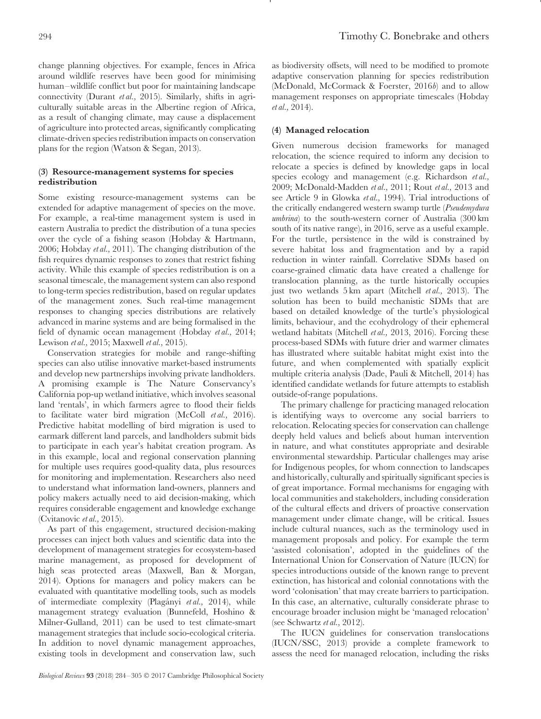change planning objectives. For example, fences in Africa around wildlife reserves have been good for minimising human–wildlife conflict but poor for maintaining landscape connectivity (Durant *et al.,* 2015). Similarly, shifts in agriculturally suitable areas in the Albertine region of Africa, as a result of changing climate, may cause a displacement of agriculture into protected areas, significantly complicating climate-driven species redistribution impacts on conservation plans for the region (Watson & Segan, 2013).

## <span id="page-10-0"></span>**(3) Resource-management systems for species redistribution**

Some existing resource-management systems can be extended for adaptive management of species on the move. For example, a real-time management system is used in eastern Australia to predict the distribution of a tuna species over the cycle of a fishing season (Hobday & Hartmann, 2006; Hobday *et al.,* 2011). The changing distribution of the fish requires dynamic responses to zones that restrict fishing activity. While this example of species redistribution is on a seasonal timescale, the management system can also respond to long-term species redistribution, based on regular updates of the management zones. Such real-time management responses to changing species distributions are relatively advanced in marine systems and are being formalised in the field of dynamic ocean management (Hobday *et al.,* 2014; Lewison *et al.,* 2015; Maxwell *et al.,* 2015).

Conservation strategies for mobile and range-shifting species can also utilise innovative market-based instruments and develop new partnerships involving private landholders. A promising example is The Nature Conservancy's California pop-up wetland initiative, which involves seasonal land 'rentals', in which farmers agree to flood their fields to facilitate water bird migration (McColl *et al.,* 2016). Predictive habitat modelling of bird migration is used to earmark different land parcels, and landholders submit bids to participate in each year's habitat creation program. As in this example, local and regional conservation planning for multiple uses requires good-quality data, plus resources for monitoring and implementation. Researchers also need to understand what information land-owners, planners and policy makers actually need to aid decision-making, which requires considerable engagement and knowledge exchange (Cvitanovic *et al.,* 2015).

As part of this engagement, structured decision-making processes can inject both values and scientific data into the development of management strategies for ecosystem-based marine management, as proposed for development of high seas protected areas (Maxwell, Ban & Morgan, 2014). Options for managers and policy makers can be evaluated with quantitative modelling tools, such as models of intermediate complexity (Plagányi *et al.*, 2014), while management strategy evaluation (Bunnefeld, Hoshino & Milner-Gulland, 2011) can be used to test climate-smart management strategies that include socio-ecological criteria. In addition to novel dynamic management approaches, existing tools in development and conservation law, such as biodiversity offsets, will need to be modified to promote adaptive conservation planning for species redistribution (McDonald, McCormack & Foerster, 2016*b*) and to allow management responses on appropriate timescales (Hobday *et al.,* 2014).

# <span id="page-10-1"></span>**(4) Managed relocation**

Given numerous decision frameworks for managed relocation, the science required to inform any decision to relocate a species is defined by knowledge gaps in local species ecology and management (e.g. Richardson *et al.,* 2009; McDonald-Madden *et al.,* 2011; Rout *et al.,* 2013 and see Article 9 in Glowka *et al.,* 1994). Trial introductions of the critically endangered western swamp turtle (*Pseudemydura umbrina*) to the south-western corner of Australia (300 km south of its native range), in 2016, serve as a useful example. For the turtle, persistence in the wild is constrained by severe habitat loss and fragmentation and by a rapid reduction in winter rainfall. Correlative SDMs based on coarse-grained climatic data have created a challenge for translocation planning, as the turtle historically occupies just two wetlands 5 km apart (Mitchell *et al.,* 2013). The solution has been to build mechanistic SDMs that are based on detailed knowledge of the turtle's physiological limits, behaviour, and the ecohydrology of their ephemeral wetland habitats (Mitchell *et al.,* 2013, 2016). Forcing these process-based SDMs with future drier and warmer climates has illustrated where suitable habitat might exist into the future, and when complemented with spatially explicit multiple criteria analysis (Dade, Pauli & Mitchell, 2014) has identified candidate wetlands for future attempts to establish outside-of-range populations.

The primary challenge for practicing managed relocation is identifying ways to overcome any social barriers to relocation. Relocating species for conservation can challenge deeply held values and beliefs about human intervention in nature, and what constitutes appropriate and desirable environmental stewardship. Particular challenges may arise for Indigenous peoples, for whom connection to landscapes and historically, culturally and spiritually significant species is of great importance. Formal mechanisms for engaging with local communities and stakeholders, including consideration of the cultural effects and drivers of proactive conservation management under climate change, will be critical. Issues include cultural nuances, such as the terminology used in management proposals and policy. For example the term 'assisted colonisation', adopted in the guidelines of the International Union for Conservation of Nature (IUCN) for species introductions outside of the known range to prevent extinction, has historical and colonial connotations with the word 'colonisation' that may create barriers to participation. In this case, an alternative, culturally considerate phrase to encourage broader inclusion might be 'managed relocation' (see Schwartz *et al.,* 2012).

The IUCN guidelines for conservation translocations (IUCN/SSC, 2013) provide a complete framework to assess the need for managed relocation, including the risks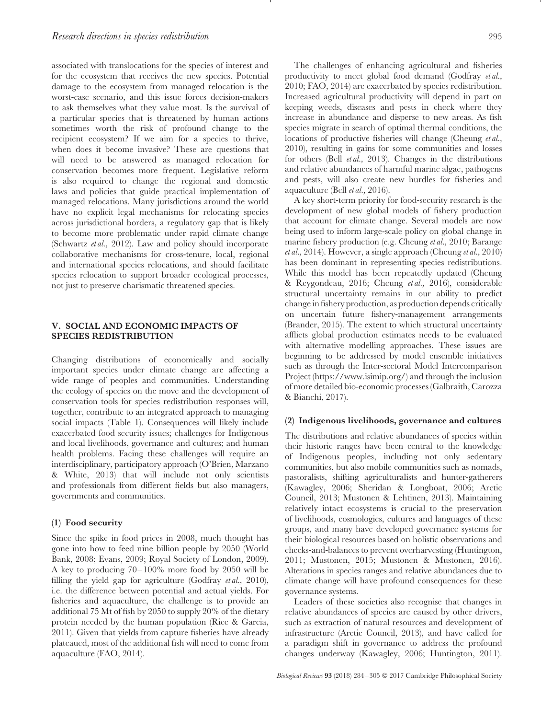associated with translocations for the species of interest and for the ecosystem that receives the new species. Potential damage to the ecosystem from managed relocation is the worst-case scenario, and this issue forces decision-makers to ask themselves what they value most. Is the survival of a particular species that is threatened by human actions sometimes worth the risk of profound change to the recipient ecosystem? If we aim for a species to thrive, when does it become invasive? These are questions that will need to be answered as managed relocation for conservation becomes more frequent. Legislative reform is also required to change the regional and domestic laws and policies that guide practical implementation of managed relocations. Many jurisdictions around the world have no explicit legal mechanisms for relocating species across jurisdictional borders, a regulatory gap that is likely to become more problematic under rapid climate change (Schwartz *et al.,* 2012). Law and policy should incorporate collaborative mechanisms for cross-tenure, local, regional and international species relocations, and should facilitate species relocation to support broader ecological processes, not just to preserve charismatic threatened species.

# <span id="page-11-0"></span>**V. SOCIAL AND ECONOMIC IMPACTS OF SPECIES REDISTRIBUTION**

Changing distributions of economically and socially important species under climate change are affecting a wide range of peoples and communities. Understanding the ecology of species on the move and the development of conservation tools for species redistribution responses will, together, contribute to an integrated approach to managing social impacts (Table 1). Consequences will likely include exacerbated food security issues; challenges for Indigenous and local livelihoods, governance and cultures; and human health problems. Facing these challenges will require an interdisciplinary, participatory approach (O'Brien, Marzano & White, 2013) that will include not only scientists and professionals from different fields but also managers, governments and communities.

#### <span id="page-11-1"></span>**(1) Food security**

Since the spike in food prices in 2008, much thought has gone into how to feed nine billion people by 2050 (World Bank, 2008; Evans, 2009; Royal Society of London, 2009). A key to producing 70–100% more food by 2050 will be filling the yield gap for agriculture (Godfray *et al.,* 2010), i.e. the difference between potential and actual yields. For fisheries and aquaculture, the challenge is to provide an additional 75 Mt of fish by 2050 to supply 20% of the dietary protein needed by the human population (Rice & Garcia, 2011). Given that yields from capture fisheries have already plateaued, most of the additional fish will need to come from aquaculture (FAO, 2014).

The challenges of enhancing agricultural and fisheries productivity to meet global food demand (Godfray *et al.,* 2010; FAO, 2014) are exacerbated by species redistribution. Increased agricultural productivity will depend in part on keeping weeds, diseases and pests in check where they increase in abundance and disperse to new areas. As fish species migrate in search of optimal thermal conditions, the locations of productive fisheries will change (Cheung *et al.,* 2010), resulting in gains for some communities and losses for others (Bell *et al.,* 2013). Changes in the distributions and relative abundances of harmful marine algae, pathogens and pests, will also create new hurdles for fisheries and aquaculture (Bell *et al.,* 2016).

A key short-term priority for food-security research is the development of new global models of fishery production that account for climate change. Several models are now being used to inform large-scale policy on global change in marine fishery production (e.g. Cheung *et al.,* 2010; Barange *et al.,* 2014). However, a single approach (Cheung *et al.,* 2010) has been dominant in representing species redistributions. While this model has been repeatedly updated (Cheung & Reygondeau, 2016; Cheung *et al.,* 2016), considerable structural uncertainty remains in our ability to predict change in fishery production, as production depends critically on uncertain future fishery-management arrangements (Brander, 2015). The extent to which structural uncertainty afflicts global production estimates needs to be evaluated with alternative modelling approaches. These issues are beginning to be addressed by model ensemble initiatives such as through the Inter-sectoral Model Intercomparison Project [\(https://www.isimip.org/\)](https://www.isimip.org/) and through the inclusion of more detailed bio-economic processes (Galbraith, Carozza & Bianchi, 2017).

#### <span id="page-11-2"></span>**(2) Indigenous livelihoods, governance and cultures**

The distributions and relative abundances of species within their historic ranges have been central to the knowledge of Indigenous peoples, including not only sedentary communities, but also mobile communities such as nomads, pastoralists, shifting agriculturalists and hunter-gatherers (Kawagley, 2006; Sheridan & Longboat, 2006; Arctic Council, 2013; Mustonen & Lehtinen, 2013). Maintaining relatively intact ecosystems is crucial to the preservation of livelihoods, cosmologies, cultures and languages of these groups, and many have developed governance systems for their biological resources based on holistic observations and checks-and-balances to prevent overharvesting (Huntington, 2011; Mustonen, 2015; Mustonen & Mustonen, 2016). Alterations in species ranges and relative abundances due to climate change will have profound consequences for these governance systems.

Leaders of these societies also recognise that changes in relative abundances of species are caused by other drivers, such as extraction of natural resources and development of infrastructure (Arctic Council, 2013), and have called for a paradigm shift in governance to address the profound changes underway (Kawagley, 2006; Huntington, 2011).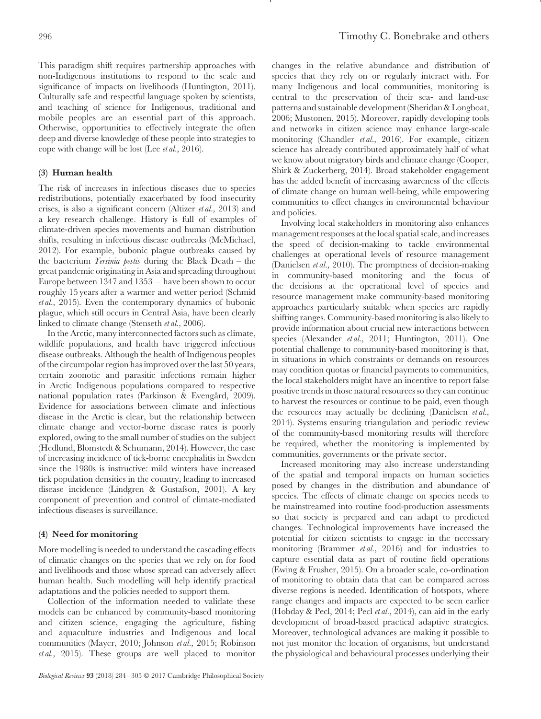This paradigm shift requires partnership approaches with non-Indigenous institutions to respond to the scale and significance of impacts on livelihoods (Huntington, 2011). Culturally safe and respectful language spoken by scientists, and teaching of science for Indigenous, traditional and mobile peoples are an essential part of this approach. Otherwise, opportunities to effectively integrate the often deep and diverse knowledge of these people into strategies to cope with change will be lost (Lee *et al.,* 2016).

# <span id="page-12-0"></span>**(3) Human health**

The risk of increases in infectious diseases due to species redistributions, potentially exacerbated by food insecurity crises, is also a significant concern (Altizer *et al.,* 2013) and a key research challenge. History is full of examples of climate-driven species movements and human distribution shifts, resulting in infectious disease outbreaks (McMichael, 2012). For example, bubonic plague outbreaks caused by the bacterium *Yersinia pestis* during the Black Death – the great pandemic originating in Asia and spreading throughout Europe between 1347 and 1353 – have been shown to occur roughly 15 years after a warmer and wetter period (Schmid *et al.,* 2015). Even the contemporary dynamics of bubonic plague, which still occurs in Central Asia, have been clearly linked to climate change (Stenseth *et al.,* 2006).

In the Arctic, many interconnected factors such as climate, wildlife populations, and health have triggered infectious disease outbreaks. Although the health of Indigenous peoples of the circumpolar region has improved over the last 50 years, certain zoonotic and parasitic infections remain higher in Arctic Indigenous populations compared to respective national population rates (Parkinson & Evengård, 2009). Evidence for associations between climate and infectious disease in the Arctic is clear, but the relationship between climate change and vector-borne disease rates is poorly explored, owing to the small number of studies on the subject (Hedlund, Blomstedt & Schumann, 2014). However, the case of increasing incidence of tick-borne encephalitis in Sweden since the 1980s is instructive: mild winters have increased tick population densities in the country, leading to increased disease incidence (Lindgren & Gustafson, 2001). A key component of prevention and control of climate-mediated infectious diseases is surveillance.

## <span id="page-12-1"></span>**(4) Need for monitoring**

More modelling is needed to understand the cascading effects of climatic changes on the species that we rely on for food and livelihoods and those whose spread can adversely affect human health. Such modelling will help identify practical adaptations and the policies needed to support them.

Collection of the information needed to validate these models can be enhanced by community-based monitoring and citizen science, engaging the agriculture, fishing and aquaculture industries and Indigenous and local communities (Mayer, 2010; Johnson *et al.,* 2015; Robinson *et al.,* 2015). These groups are well placed to monitor changes in the relative abundance and distribution of species that they rely on or regularly interact with. For many Indigenous and local communities, monitoring is central to the preservation of their sea- and land-use patterns and sustainable development (Sheridan & Longboat, 2006; Mustonen, 2015). Moreover, rapidly developing tools and networks in citizen science may enhance large-scale monitoring (Chandler *et al.,* 2016). For example, citizen science has already contributed approximately half of what we know about migratory birds and climate change (Cooper, Shirk & Zuckerberg, 2014). Broad stakeholder engagement has the added benefit of increasing awareness of the effects of climate change on human well-being, while empowering communities to effect changes in environmental behaviour and policies.

Involving local stakeholders in monitoring also enhances management responses at the local spatial scale, and increases the speed of decision-making to tackle environmental challenges at operational levels of resource management (Danielsen *et al.,* 2010). The promptness of decision-making in community-based monitoring and the focus of the decisions at the operational level of species and resource management make community-based monitoring approaches particularly suitable when species are rapidly shifting ranges. Community-based monitoring is also likely to provide information about crucial new interactions between species (Alexander *et al.,* 2011; Huntington, 2011). One potential challenge to community-based monitoring is that, in situations in which constraints or demands on resources may condition quotas or financial payments to communities, the local stakeholders might have an incentive to report false positive trends in those natural resources so they can continue to harvest the resources or continue to be paid, even though the resources may actually be declining (Danielsen *et al.,* 2014). Systems ensuring triangulation and periodic review of the community-based monitoring results will therefore be required, whether the monitoring is implemented by communities, governments or the private sector.

Increased monitoring may also increase understanding of the spatial and temporal impacts on human societies posed by changes in the distribution and abundance of species. The effects of climate change on species needs to be mainstreamed into routine food-production assessments so that society is prepared and can adapt to predicted changes. Technological improvements have increased the potential for citizen scientists to engage in the necessary monitoring (Brammer *et al.,* 2016) and for industries to capture essential data as part of routine field operations (Ewing & Frusher, 2015). On a broader scale, co-ordination of monitoring to obtain data that can be compared across diverse regions is needed. Identification of hotspots, where range changes and impacts are expected to be seen earlier (Hobday & Pecl, 2014; Pecl *et al.,* 2014), can aid in the early development of broad-based practical adaptive strategies. Moreover, technological advances are making it possible to not just monitor the location of organisms, but understand the physiological and behavioural processes underlying their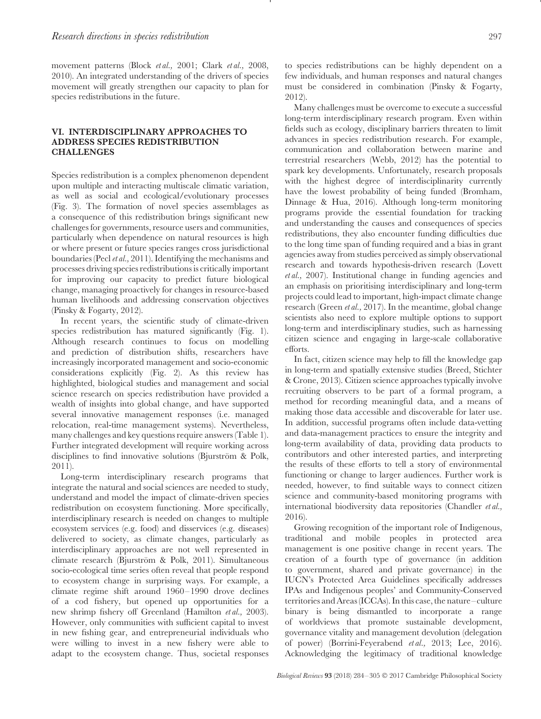movement patterns (Block *et al.,* 2001; Clark *et al.,* 2008, 2010). An integrated understanding of the drivers of species movement will greatly strengthen our capacity to plan for species redistributions in the future.

## <span id="page-13-0"></span>**VI. INTERDISCIPLINARY APPROACHES TO ADDRESS SPECIES REDISTRIBUTION CHALLENGES**

Species redistribution is a complex phenomenon dependent upon multiple and interacting multiscale climatic variation, as well as social and ecological/evolutionary processes (Fig. 3). The formation of novel species assemblages as a consequence of this redistribution brings significant new challenges for governments, resource users and communities, particularly when dependence on natural resources is high or where present or future species ranges cross jurisdictional boundaries (Pecl *et al.,* 2011). Identifying the mechanisms and processes driving species redistributions is critically important for improving our capacity to predict future biological change, managing proactively for changes in resource-based human livelihoods and addressing conservation objectives (Pinsky & Fogarty, 2012).

In recent years, the scientific study of climate-driven species redistribution has matured significantly (Fig. 1). Although research continues to focus on modelling and prediction of distribution shifts, researchers have increasingly incorporated management and socio-economic considerations explicitly (Fig. 2). As this review has highlighted, biological studies and management and social science research on species redistribution have provided a wealth of insights into global change, and have supported several innovative management responses (i.e. managed relocation, real-time management systems). Nevertheless, many challenges and key questions require answers (Table 1). Further integrated development will require working across disciplines to find innovative solutions (Bjurström & Polk, 2011).

Long-term interdisciplinary research programs that integrate the natural and social sciences are needed to study, understand and model the impact of climate-driven species redistribution on ecosystem functioning. More specifically, interdisciplinary research is needed on changes to multiple ecosystem services (e.g. food) and disservices (e.g. diseases) delivered to society, as climate changes, particularly as interdisciplinary approaches are not well represented in climate research (Bjurström & Polk, 2011). Simultaneous socio-ecological time series often reveal that people respond to ecosystem change in surprising ways. For example, a climate regime shift around 1960–1990 drove declines of a cod fishery, but opened up opportunities for a new shrimp fishery off Greenland (Hamilton *et al.,* 2003). However, only communities with sufficient capital to invest in new fishing gear, and entrepreneurial individuals who were willing to invest in a new fishery were able to adapt to the ecosystem change. Thus, societal responses

to species redistributions can be highly dependent on a few individuals, and human responses and natural changes must be considered in combination (Pinsky & Fogarty, 2012).

Many challenges must be overcome to execute a successful long-term interdisciplinary research program. Even within fields such as ecology, disciplinary barriers threaten to limit advances in species redistribution research. For example, communication and collaboration between marine and terrestrial researchers (Webb, 2012) has the potential to spark key developments. Unfortunately, research proposals with the highest degree of interdisciplinarity currently have the lowest probability of being funded (Bromham, Dinnage & Hua, 2016). Although long-term monitoring programs provide the essential foundation for tracking and understanding the causes and consequences of species redistributions, they also encounter funding difficulties due to the long time span of funding required and a bias in grant agencies away from studies perceived as simply observational research and towards hypothesis-driven research (Lovett *et al.,* 2007). Institutional change in funding agencies and an emphasis on prioritising interdisciplinary and long-term projects could lead to important, high-impact climate change research (Green *et al.,* 2017). In the meantime, global change scientists also need to explore multiple options to support long-term and interdisciplinary studies, such as harnessing citizen science and engaging in large-scale collaborative efforts.

In fact, citizen science may help to fill the knowledge gap in long-term and spatially extensive studies (Breed, Stichter & Crone, 2013). Citizen science approaches typically involve recruiting observers to be part of a formal program, a method for recording meaningful data, and a means of making those data accessible and discoverable for later use. In addition, successful programs often include data-vetting and data-management practices to ensure the integrity and long-term availability of data, providing data products to contributors and other interested parties, and interpreting the results of these efforts to tell a story of environmental functioning or change to larger audiences. Further work is needed, however, to find suitable ways to connect citizen science and community-based monitoring programs with international biodiversity data repositories (Chandler *et al.,* 2016).

Growing recognition of the important role of Indigenous, traditional and mobile peoples in protected area management is one positive change in recent years. The creation of a fourth type of governance (in addition to government, shared and private governance) in the IUCN's Protected Area Guidelines specifically addresses IPAs and Indigenous peoples' and Community-Conserved territories and Areas (ICCAs). In this case, the nature–culture binary is being dismantled to incorporate a range of worldviews that promote sustainable development, governance vitality and management devolution (delegation of power) (Borrini-Feyerabend *et al.,* 2013; Lee, 2016). Acknowledging the legitimacy of traditional knowledge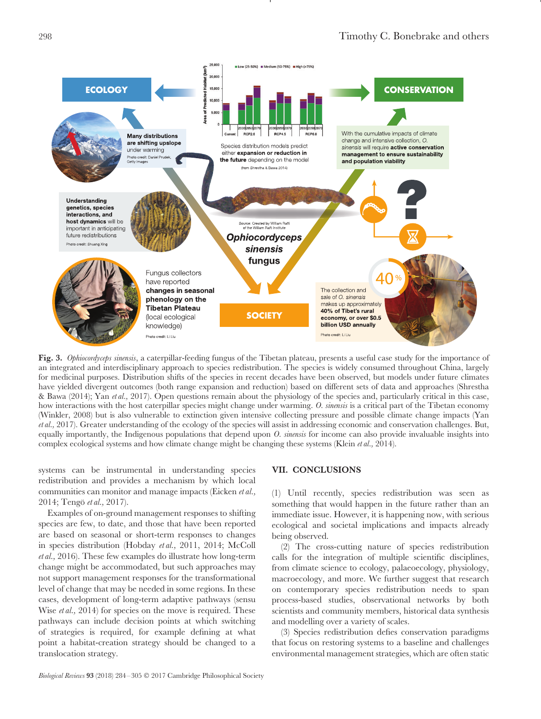

**Fig. 3.** *Ophiocordyceps sinensis*, a caterpillar-feeding fungus of the Tibetan plateau, presents a useful case study for the importance of an integrated and interdisciplinary approach to species redistribution. The species is widely consumed throughout China, largely for medicinal purposes. Distribution shifts of the species in recent decades have been observed, but models under future climates have yielded divergent outcomes (both range expansion and reduction) based on different sets of data and approaches (Shrestha & Bawa (2014); Yan *et al.,* 2017). Open questions remain about the physiology of the species and, particularly critical in this case, how interactions with the host caterpillar species might change under warming. *O. sinensis* is a critical part of the Tibetan economy (Winkler, 2008) but is also vulnerable to extinction given intensive collecting pressure and possible climate change impacts (Yan *et al.,* 2017). Greater understanding of the ecology of the species will assist in addressing economic and conservation challenges. But, equally importantly, the Indigenous populations that depend upon *O. sinensis* for income can also provide invaluable insights into complex ecological systems and how climate change might be changing these systems (Klein *et al.,* 2014).

systems can be instrumental in understanding species redistribution and provides a mechanism by which local communities can monitor and manage impacts (Eicken *et al.,* 2014; Tengo¨ *et al.,* 2017).

Examples of on-ground management responses to shifting species are few, to date, and those that have been reported are based on seasonal or short-term responses to changes in species distribution (Hobday *et al.,* 2011, 2014; McColl *et al.,* 2016). These few examples do illustrate how long-term change might be accommodated, but such approaches may not support management responses for the transformational level of change that may be needed in some regions. In these cases, development of long-term adaptive pathways (sensu Wise *et al.*, 2014) for species on the move is required. These pathways can include decision points at which switching of strategies is required, for example defining at what point a habitat-creation strategy should be changed to a translocation strategy.

## <span id="page-14-0"></span>**VII. CONCLUSIONS**

(1) Until recently, species redistribution was seen as something that would happen in the future rather than an immediate issue. However, it is happening now, with serious ecological and societal implications and impacts already being observed.

(2) The cross-cutting nature of species redistribution calls for the integration of multiple scientific disciplines, from climate science to ecology, palaeoecology, physiology, macroecology, and more. We further suggest that research on contemporary species redistribution needs to span process-based studies, observational networks by both scientists and community members, historical data synthesis and modelling over a variety of scales.

(3) Species redistribution defies conservation paradigms that focus on restoring systems to a baseline and challenges environmental management strategies, which are often static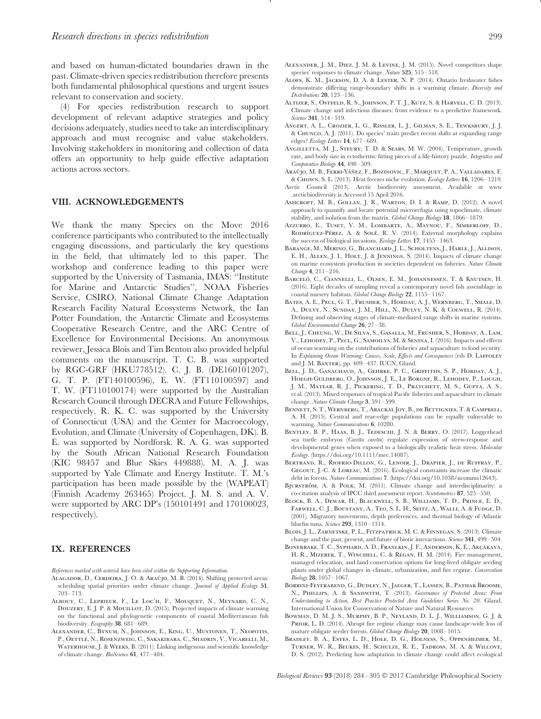and based on human-dictated boundaries drawn in the past. Climate-driven species redistribution therefore presents both fundamental philosophical questions and urgent issues relevant to conservation and society.

(4) For species redistribution research to support development of relevant adaptive strategies and policy decisions adequately, studies need to take an interdisciplinary approach and must recognise and value stakeholders. Involving stakeholders in monitoring and collection of data offers an opportunity to help guide effective adaptation actions across sectors.

#### <span id="page-15-0"></span>**VIII. ACKNOWLEDGEMENTS**

We thank the many Species on the Move 2016 conference participants who contributed to the intellectually engaging discussions, and particularly the key questions in the field, that ultimately led to this paper. The workshop and conference leading to this paper were supported by the University of Tasmania, IMAS: ''Institute for Marine and Antarctic Studies'', NOAA Fisheries Service, CSIRO, National Climate Change Adaptation Research Facility Natural Ecosystems Network, the Ian Potter Foundation, the Antarctic Climate and Ecosystems Cooperative Research Centre, and the ARC Centre of Excellence for Environmental Decisions. An anonymous reviewer, Jessica Blois and Tim Benton also provided helpful comments on the manuscript. T. C. B. was supported by RGC-GRF (HKU778512). C. J. B. (DE160101207), G. T. P. (FT140100596), E. W. (FT110100597) and T. W. (FT110100174) were supported by the Australian Research Council through DECRA and Future Fellowships, respectively. R. K. C. was supported by the University of Connecticut (USA) and the Center for Macroecology, Evolution, and Climate (University of Copenhagen, DK). B. E. was supported by Nordforsk. R. A. G. was supported by the South African National Research Foundation (KIC 98457 and Blue Skies 449888). M. A. J. was supported by Yale Climate and Energy Institute. T. M.'s participation has been made possible by the (WAPEAT) (Finnish Academy 263465) Project. J. M. S. and A. V. were supported by ARC DP's (150101491 and 170100023, respectively).

## <span id="page-15-1"></span>**IX. REFERENCES**

*References marked with asterisk have been cited within the Supporting Information.*

- ALAGADOR, D., CERDEIRA, J. O. & ARAÚJO, M. B. (2014). Shifting protected areas: scheduling spatial priorities under climate change. *Journal of Applied Ecology* **51**, 703–713.
- Albouy, C., Leprieur, F., Le Loc'h, F., Mouquet, N., Meynard, C. N., DOUZERY, E. J. P. & MOUILLOT, D. (2015). Projected impacts of climate warming on the functional and phylogenetic components of coastal Mediterranean fish biodiversity. *Ecography* **38**, 681–689.
- Alexander, C., Bynum, N., Johnson, E., King, U., Mustonen, T., Neofotis, P., Oettlé, N., Rosenzweig, C., Sakakibara, C., Shadrin, V., Vicarelli, M., WATERHOUSE, J. & WEEKS, B. (2011). Linking indigenous and scientific knowledge of climate change. *BioScience* **61**, 477–484.
- ALEXANDER, J. M., DIEZ, J. M. & LEVINE, J. M. (2015). Novel competitors shape species' responses to climate change. *Nature* **525**, 515–518.
- ALOFS, K. M., JACKSON, D. A. & LESTER, N. P. (2014). Ontario freshwater fishes demonstrate differing range-boundary shifts in a warming climate. *Diversity and Distributions* **20**, 123–136.
- Altizer, S., Ostfeld, R. S., Johnson, P. T. J., Kutz, S. & Harvell, C. D. (2013). Climate change and infectious diseases: from evidence to a predictive framework. *Science* **341**, 514–519.
- Angert, A. L., Crozier, L. G., Rissler, L. J., Gilman, S. E., Tewksbury, J. J. & Chunco, A. J. (2011). Do species' traits predict recent shifts at expanding range edges? *Ecology Letters* **14**, 677–689.
- Angilletta, M. J., Steury, T. D. & Sears, M. W. (2004). Temperature, growth rate, and body size in ectotherms: fitting pieces of a life-history puzzle. *Integrative and Comparative Biology* **44**, 498–509.
- Araújo, M. B., Ferri-Yáñez, F., Bozinovic, F., Marquet, P. A., Valladares, F. & Chown, S. L. (2013). Heat freezes niche evolution. *Ecology Letters* **16**, 1206–1219.
- Arctic Council (2013). Arctic biodiversity assessment. Available at [www](http://www.arcticbiodiversity.is) [.arcticbiodiversity.is](http://www.arcticbiodiversity.is) Accessed 15 April 2016.
- ASHCROFT, M. B., GOLLAN, J. R., WARTON, D. I. & RAMP, D. (2012). A novel approach to quantify and locate potential microrefugia using topoclimate, climate stability, and isolation from the matrix. *Global Change Biology* **18**, 1866–1879.
- Azzurro, E., Tuset, V. M., Lombarte, A., Maynou, F., Simberloff, D., RODRÍGUEZ-PÉREZ, A. & SOLÉ, R. V. (2014). External morphology explains the success of biological invasions. *Ecology Letters* **17**, 1455–1463.
- BARANGE, M., MERINO, G., BLANCHARD, J. L., SCHOLTENS, J., HARLE, J., ALLISON, E. H., ALLEN, J. I., HOLT, J. & JENNINGS, S. (2014). Impacts of climate change on marine ecosystem production in societies dependent on fisheries. *Nature Climate Change* **4**, 211–216.
- BARCELÓ, C., CIANNELLI, L., OLSEN, E. M., JOHANNESSEN, T. & KNUTSEN, H. (2016). Eight decades of sampling reveal a contemporary novel fish assemblage in coastal nursery habitats. *Global Change Biology* **22**, 1155–1167.
- Bates, A. E., Pecl, G. T., Frusher, S., Hobday, A. J., Wernberg, T., Smale, D. A., Dulvy, N., Sunday, J. M., Hill, N., Dulvy, N. K. & Colwell, R. (2014). Defining and observing stages of climate-mediated range shifts in marine systems. *Global Environmental Change* **26**, 27–38.
- Bell, J., Cheung, W., De Silva, S., Gasalla, M., Frusher, S., Hobday, A., Lam, V., Lehodey, P., Pecl, G., Samoilys, M. & Senina, I. (2016). Impacts and effects of ocean warming on the contributions of fisheries and aquaculture to food security. In *Explaining Ocean Warming: Causes, Scale, Effects and Consequences* (eds D. LAFFOLEY and J. M. Baxter), pp. 409–437. IUCN, Gland.
- BELL, J. D., GANACHAUD, A., GEHRKE, P. C., GRIFFITHS, S. P., HOBDAY, A. J., Hoegh-Guldberg, O., Johnson, J. E., Le Borgne, R., Lehodey, P., Lough, J. M., Matear, R. J., Pickering, T. D., Pratchett, M. S., Gupta, A. S., et al. (2013). Mixed responses of tropical Pacific fisheries and aquaculture to climate change. *Nature Climate Change* **3**, 591–599.
- BENNETT, S. T., WERNBERG, T., ARACKAL JOY, B., DE BETTIGNIES, T. & CAMPBELL, A. H. (2015). Central and rear-edge populations can be equally vulnerable to warming. *Nature Communications* **6**, 10280.
- BENTLEY, B. P., HAAS, B. J., TEDESCHI, J. N. & BERRY, O. (2017). Loggerhead sea turtle embryos (*Caretta caretta*) regulate expression of stress-response and developmental genes when exposed to a biologically realistic heat stress. *Molecular Ecology*. [\(https://doi.org/10.1111/mec.14087\)](https://doi.org/10.1111/mec.14087).
- BERTRAND, R., RIOFRIO-DILLON, G., LENOIR, J., DRAPIER, J., DE RUFFRAY, P., Gegout, J.-C. & Loreau, M. (2016). Ecological constraints increase the climatic debt in forests. *Nature Communications* **7**. [\(https://doi.org/10.1038/ncomms12643\)](https://doi.org/10.1038/ncomms12643).
- BJURSTRÖM, A. & POLK, M. (2011). Climate change and interdisciplinarity: a co-citation analysis of IPCC third assessment report. *Scientometrics* **87**, 525–550.
- Block, B. A., Dewar, H., Blackwell, S. B., Williams, T. D., Prince, E. D., Farwell, C. J., Boustany, A., Teo, S. L. H., Seitz, A., Walli, A. & Fudge, D. (2001). Migratory movements, depth preferences, and thermal biology of Atlantic bluefin tuna. *Science* **293**, 1310–1314.
- Blois, J. L., Zarnetske, P. L., Fitzpatrick, M. C. & Finnegan, S. (2013). Climate change and the past, present, and future of biotic interactions. *Science* **341**, 499–504.
- BONEBRAKE, T. C., SYPHARD, A. D., FRANLKIN, J. F., ANDERSON, K. E., AKÇAKAYA, H. R., Mizerek, T., Winchell, C. & Regan, H. M. (2014). Fire management, managed relocation, and land conservation options for long-lived obligate seeding plants under global changes in climate, urbanization, and fire regime. *Conservation Biology* **28**, 1057–1067.
- Borrini-Feyerabend, G., Dudley, N., Jaeger, T., Lassen, B., Pathak Broome, N., Phillips, A. & Sandwith, T. (2013). *Governance of Protected Areas: From Understanding to Action*, *Best Practice Protected Area Guidelines Series No. 20*. Gland. International Union for Conservation of Nature and Natural Resources.
- Bowman, D. M. J. S., Murphy, B. P., Neyland, D. L. J., Williamson, G. J. & Prior, L. D. (2014). Abrupt fire regime change may cause landscape-wide loss of mature obligate seeder forests. *Global Change Biology* **20**, 1008–1015.
- Bradley, B. A., Estes, L. D., Hole, D. G., Holness, S., Oppenheimer, M., Turner, W. R., Beukes, H., Schulze, R. E., Tadross, M. A. & Wilcove, D. S. (2012). Predicting how adaptation to climate change could affect ecological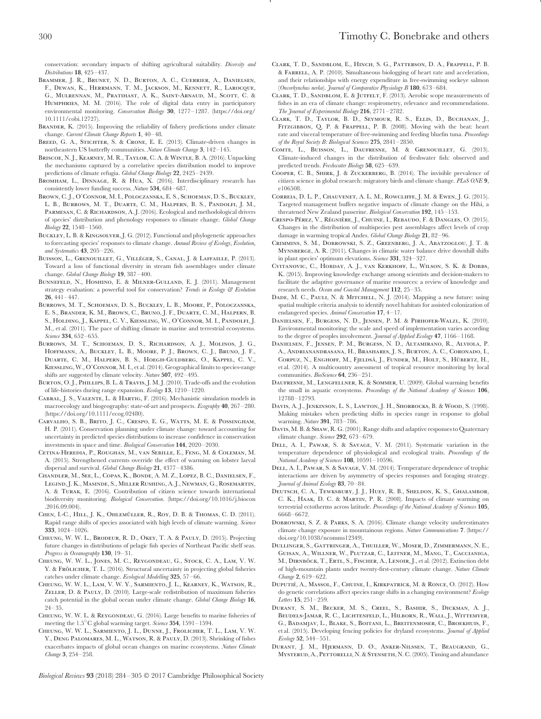conservation: secondary impacts of shifting agricultural suitability. *Diversity and Distributions* **18**, 425–437.

- Brammer, J. R., Brunet, N. D., Burton, A. C., Cuerrier, A., Danielsen, F., Dewan, K., Herrmann, T. M., Jackson, M., Kennett, R., Larocque, G., Mulrennan, M., Pratihast, A. K., Saint-Arnaud, M., Scott, C. & Humphries, M. M. (2016). The role of digital data entry in participatory environmental monitoring. *Conservation Biology* **30**, 1277–1287. [\(https://doi.org/](https://doi.org/10.1111/cobi.12727) [10.1111/cobi.12727\).](https://doi.org/10.1111/cobi.12727)
- BRANDER, K. (2015). Improving the reliability of fishery predictions under climate change. *Current Climate Change Reports* **1**, 40–48.
- BREED, G. A., STICHTER, S. & CRONE, E. E. (2013). Climate-driven changes in northeastern US butterfly communities. *Nature Climate Change* **3**, 142–145.
- Briscoe, N. J., Kearney, M. R., Taylor, C. A. & Wintle, B. A. (2016). Unpacking the mechanisms captured by a correlative species distribution model to improve predictions of climate refugia. *Global Change Biology* **22**, 2425–2439.
- BROMHAM, L., DINNAGE, R. & HUA, X. (2016). Interdisciplinary research has consistently lower funding success. *Nature* **534**, 684–687.
- Brown, C. J., O'Connor, M. I., Poloczanska, E. S., Schoeman, D. S., Buckley, L. B., Burrows, M. T., Duarte, C. M., Halpern, B. S., Pandolfi, J. M., PARMESAN, C. & RICHARDSON, A. J. (2016). Ecological and methodological drivers of species' distribution and phenology responses to climate change. *Global Change Biology* **22**, 1548–1560.
- Buckley, L. B. & Kingsolver, J. G. (2012). Functional and phylogenetic approaches to forecasting species' responses to climate change. *Annual Review of Ecology, Evolution, and Systematics* **43**, 205–226.
- BUISSON, L., GRENOUILLET, G., VILLÉGER, S., CANAL, J. & LAFFAILLE, P. (2013). Toward a loss of functional diversity in stream fish assemblages under climate change. *Global Change Biology* **19**, 387–400.
- Bunnefeld, N., Hoshino, E. & Milner-Gulland, E. J. (2011). Management strategy evaluation: a powerful tool for conservation? *Trends in Ecology & Evolution* **26**, 441–447.
- Burrows, M. T., Schoeman, D. S., Buckley, L. B., Moore, P., Poloczanska, E. S., Brander, K. M., Brown, C., Bruno, J. F., Duarte, C. M., Halpern, B. S., Holding, J., Kappel, C. V., Kiessling, W., O'Connor, M. I., Pandolfi, J. M., et al. (2011). The pace of shifting climate in marine and terrestrial ecosystems. *Science* **334**, 652–655.
- Burrows, M. T., Schoeman, D. S., Richardson, A. J., Molinos, J. G., Hoffmann, A., Buckley, L. B., Moore, P. J., Brown, C. J., Bruno, J. F., Duarte, C. M., Halpern, B. S., Hoegh-Guldberg, O., Kappel, C. V., Kiessling, W., O'Connor, M. I., et al. (2014). Geographical limits to species-range shifts are suggested by climate velocity. *Nature* **507**, 492–495.
- BURTON, O.J., PHILLIPS, B. L. & TRAVIS, J. M.J. (2010). Trade-offs and the evolution of life-histories during range expansion. *Ecology* **13**, 1210–1220.
- Cabral, J. S., Valente, L. & Hartig, F. (2016). Mechanistic simulation models in macroecology and biogeography: state-of-art and prospects. *Ecography* **40**, 267–280. [\(https://doi.org/10.1111/ecog.02480\)](https://doi.org/10.1111/ecog.02480).
- Carvalho, S. B., Brito, J. C., Crespo, E. G., Watts, M. E. & Possingham, H. P. (2011). Conservation planning under climate change: toward accounting for uncertainty in predicted species distributions to increase confidence in conservation investments in space and time. *Biological Conservation* **144**, 2020–2030.
- Cetina-Heredia, P., Roughan, M., van Sebille, E., Feng, M. & Coleman, M. A. (2015). Strengthened currents override the effect of warming on lobster larval dispersal and survival. *Global Change Biology* **21**, 4377–4386.
- Chandler, M., See, L., Copas, K., Bonde, A. M. Z., Lopez, B. C., Danielsen, F., Legind, J. K., Masinde, S., Miller Rushing, A. J., Newman, G., Rosemartin, A. & Turak, E. (2016). Contribution of citizen science towards international biodiversity monitoring. *Biological Conservation*. [\(https://doi.org/10.1016/j.biocon](https://doi.org/10.1016/j.biocon.2016.09.004) [.2016.09.004\)](https://doi.org/10.1016/j.biocon.2016.09.004).
- CHEN, I.-C., HILL, J. K., OHLEMÜLLER, R., ROY, D. B. & THOMAS, C. D. (2011). Rapid range shifts of species associated with high levels of climate warming. *Science* **333**, 1024–1026.
- Cheung, W. W. L., Brodeur, R. D., Okey, T. A. & Pauly, D. (2015). Projecting future changes in distributions of pelagic fish species of Northeast Pacific shelf seas. *Progress in Oceanography* **130**, 19–31.
- Cheung, W. W. L., Jones, M. C., Reygondeau, G., Stock, C. A., Lam, V. W. Y. & FRÖLICHER, T. L. (2016). Structural uncertainty in projecting global fisheries catches under climate change. *Ecological Modelling* **325**, 57–66.
- Cheung, W. W. L., Lam, V. W. Y., Sarmiento, J. L., Kearney, K., Watson, R., ZELLER, D. & PAULY, D. (2010). Large-scale redistribution of maximum fisheries catch potential in the global ocean under climate change. *Global Change Biology* **16**, 24–35.
- CHEUNG, W. W. L. & REYGONDEAU, G. (2016). Large benefits to marine fisheries of meeting the 1.5◦C global warming target. *Science* **354**, 1591–1594.
- Cheung, W. W. L., Sarmiento, J. L., Dunne, J., Frolicher, T. L., Lam, V. W. Y., Deng Palomares, M. L., Watson, R. & Pauly, D. (2013). Shrinking of fishes exacerbates impacts of global ocean changes on marine ecosystems. *Nature Climate Change* **3**, 254–258.
- Clark, T. D., Sandblom, E., Hinch, S. G., Patterson, D. A., Frappell, P. B. & Farrell, A. P. (2010). Simultaneous biologging of heart rate and acceleration, and their relationships with energy expenditure in free-swimming sockeye salmon (*Oncorhynchus nerka*). *Journal of Comparative Physiology B* **180**, 673–684.
- Clark, T. D., Sandblom, E. & Jutfelt, F. (2013). Aerobic scope measurements of fishes in an era of climate change: respirometry, relevance and recommendations. *The Journal of Experimental Biology* **216**, 2771–2782.
- Clark, T. D., Taylor, B. D., Seymour, R. S., Ellis, D., Buchanan, J., FITZGIBBON, Q. P. & FRAPPELL, P. B. (2008). Moving with the beat: heart rate and visceral temperature of free-swimming and feeding bluefin tuna. *Proceedings of the Royal Society B: Biological Sciences* **275**, 2841–2850.
- Comte, L., Buisson, L., Daufresne, M. & Grenouillet, G. (2013). Climate-induced changes in the distribution of freshwater fish: observed and predicted trends. *Freshwater Biology* **58**, 625–639.
- Cooper, C. B., Shirk, J. & Zuckerberg, B. (2014). The invisible prevalence of citizen science in global research: migratory birds and climate change. *PLoS ONE* **9**, e106508.
- Correia, D. L. P., Chauvenet, A. L. M., Rowcliffe, J. M. & Ewen, J. G. (2015). Targeted management buffers negative impacts of climate change on the Hihi, a threatened New Zealand passerine. *Biological Conservation* **192**, 145–153.
- CRESPO-PÉREZ, V., RÉGNIÈRE, J., CHUINE, I., REBAUDO, F. & DANGLES, O. (2015). Changes in the distribution of multispecies pest assemblages affect levels of crop damage in warming tropical Andes. *Global Change Biology* **21**, 82–96.
- Crimmins, S. M., Dobrowski, S. Z., Greenberg, J. A., Abatzoglou, J. T. & MYNSBERGE, A. R. (2011). Changes in climatic water balance drive downhill shifts in plant species' optimum elevations. *Science* **331**, 324–327.
- Cvitanovic, C., Hobday, A. J., van Kerkhoff, L., Wilson, S. K. & Dobbs, K. (2015). Improving knowledge exchange among scientists and decision-makers to facilitate the adaptive governance of marine resources: a review of knowledge and research needs. *Ocean and Coastal Management* **112**, 25–35.
- DADE, M. C., PAULI, N. & MITCHELL, N. J. (2014). Mapping a new future: using spatial multiple criteria analysis to identify novel habitats for assisted colonization of endangered species. *Animal Conservation* **17**, 4–17.
- Danielsen, F., Burgess, N. D., Jensen, P. M. & Pirhofer-Walzl, K. (2010). Environmental monitoring: the scale and speed of implementation varies according to the degree of peoples involvement. *Journal of Applied Ecology* **47**, 1166–1168.
- Danielsen, F., Jensen, P. M., Burgess, N. D., Altamirano, R., Alviola, P. A., Andrianandrasana, H., Brashares, J. S., Burton, A. C., Coronado, I., CORPUZ, N., ENGHOFF, M., FJELDSÅ, J., FUNDER, M., HOLT, S., HÜBERTZ, H., et al. (2014). A multicountry assessment of tropical resource monitoring by local communities. *BioScience* **64**, 236–251.
- Daufresne, M., Lengfellner, K. & Sommer, U. (2009). Global warming benefits the small in aquatic ecosystems. *Proceedings of the National Academy of Sciences* **106**, 12788–12793.
- Davis, A. J., Jenkinson, L. S., Lawton, J. H., Shorrocks, B. & Wood, S. (1998). Making mistakes when predicting shifts in species range in response to global warming. *Nature* **391**, 783–786.
- Davis, M. B. &Shaw, R. G. (2001). Range shifts and adaptive responses to Quaternary climate change. *Science* **292**, 673–679.
- Dell, A. I., Pawar, S. & Savage, V. M. (2011). Systematic variation in the temperature dependence of physiological and ecological traits. *Proceedings of the National Academy of Sciences* **108**, 10591–10596.
- Dell, A. I., Pawar, S. & Savage, V. M. (2014). Temperature dependence of trophic interactions are driven by asymmetry of species responses and foraging strategy. *Journal of Animal Ecology* **83**, 70–84.
- Deutsch, C. A., Tewksbury, J. J., Huey, R. B., Sheldon, K. S., Ghalambor, C. K., Haak, D. C. & Martin, P. R. (2008). Impacts of climate warming on terrestrial ectotherms across latitude. *Proceedings of the National Academy of Sciences* **105**, 6668–6672.
- Dobrowski, S. Z. & Parks, S. A. (2016). Climate change velocity underestimates climate change exposure in mountainous regions. *Nature Communications* **7**. [\(https://](https://doi.org/10.1038/ncomms12349) [doi.org/10.1038/ncomms12349\)](https://doi.org/10.1038/ncomms12349).
- Dullinger, S., Gattringer, A., Thuiller, W., Moser, D., Zimmermann, N. E., Guisan, A., Willner, W., Plutzar, C., Leitner, M., Mang, T., Caccianiga, M., DIRNBÖCK, T., ERTL, S., FISCHER, A., LENOIR, J., et al. (2012). Extinction debt of high-mountain plants under twenty-first-century climate change. *Nature Climate Change* **2**, 619–622.
- Duputie´, A., Massol, F., Chuine, I., Kirkpatrick, M. & Ronce, O. (2012). How do genetic correlations affect species range shifts in a changing environment? *Ecology Letters* **15**, 251–259.
- Durant, S. M., Becker, M. S., Creel, S., Bashir, S., Dickman, A. J., Beudels-Jamar, R. C., Lichtenfeld, L., Hilborn, R., Wall, J., Wittemyer, G., Badamjav, L., Blake, S., Boitani, L., Breitenmoser, C., Broekhuis, F., et al. (2015). Developing fencing policies for dryland ecosystems. *Journal of Applied Ecology* **52**, 544–551.
- Durant, J. M., Hjermann, D. Ø., Anker-Nilssen, T., Beaugrand, G., MYSTERUD, A., PETTORELLI, N. & STENSETH, N. C. (2005). Timing and abundance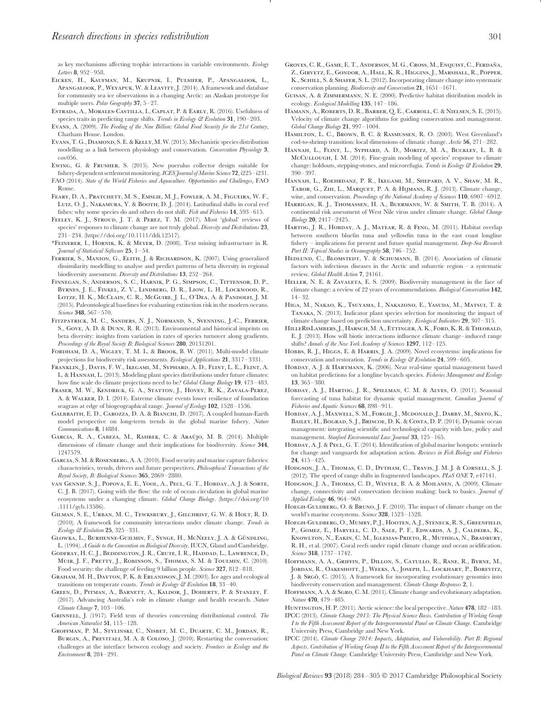as key mechanisms affecting trophic interactions in variable environments. *Ecology Letters* **8**, 952–958.

- Eicken, H., Kaufman, M., Krupnik, I., Pulsifer, P., Apangalook, L., APANGALOOK, P., WEYAPUK, W. & LEAVITT, J. (2014). A framework and database for community sea ice observations in a changing Arctic: an Alaskan prototype for multiple users. *Polar Geography* **37**, 5–27.
- Estrada, A., Morales-Castilla, I., Caplat, P. & Early, R. (2016). Usefulness of species traits in predicting range shifts. *Trends in Ecology & Evolution* **31**, 190–203.
- Evans, A. (2009). *The Feeding of the Nine Billion: Global Food Security for the 21st Century*, Chatham House. London.
- EVANS, T. G., DIAMOND, S. E. & KELLY, M. W. (2015). Mechanistic species distribution modelling as a link between physiology and conservation. *Conservation Physiology* **3**, cov056.
- Ewing, G. & Frusher, S. (2015). New puerulus collector design suitable for fishery-dependent settlement monitoring.*ICES Journal of Marine Science* **72**, i225–i231. FAO (2014). *State of the World Fisheries and Aquaculture. Opportunities and Challenges*, FAO Rome.
- Feary, D. A., Pratchett, M. S., Emslie, M. J., Fowler, A. M., Figueira, W. F., LUIZ, O. J., NAKAMURA, Y. & BOOTH, D. J. (2014). Latitudinal shifts in coral reef fishes: why some species do and others do not shift. *Fish and Fisheries* **14**, 593–615.
- FEELEY, K. J., STROUD, J. T. & PEREZ, T. M. (2017). Most 'global' reviews of species' responses to climate change are not truly global. *Diversity and Distributions* **23**, 231–234. [\(https://doi.org/10.1111/ddi.12517\)](https://doi.org/10.1111/ddi.12517).
- \*Feinerer, I., Hornik, K. & Meyer, D. (2008). Text mining infrastructure in R. *Journal of Statistical Software* **25**, 1–54.
- Ferrier, S., Manion, G., Elith, J. & Richardson, K. (2007). Using generalized dissimilarity modelling to analyse and predict patterns of beta diversity in regional biodiversity assessment. *Diversity and Distributions* **13**, 252–264.
- Finnegan, S., Anderson, S. C., Harnik, P. G., Simpson, C., Tittensor, D. P., Byrnes, J. E., Finkel, Z. V., Lindberg, D. R., Liow, L. H., Lockwood, R., Lotze, H. K., McClain, C. R., McGuire, J. L., O'Dea, A. & Pandolfi, J. M. (2015). Paleontological baselines for evaluating extinction risk in the modern oceans. *Science* **348**, 567–570.
- Fitzpatrick, M. C., Sanders, N. J., Normand, S., Svenning, J.-C., Ferrier, S., Gove, A. D. & Dunn, R. R. (2013). Environmental and historical imprints on beta diversity: insights from variation in rates of species turnover along gradients. *Proceedings of the Royal Society B: Biological Sciences* **280**, 20131201.
- Fordham, D. A., Wigley, T. M. L. & Brook, B. W. (2011). Multi-model climate projections for biodiversity risk assessments. *Ecological Applications* **21**, 3317–3331.
- Franklin, J., Davis, F. W., Ikegami, M., Syphard, A. D., Flint, L. E., Flint, A. L. & HANNAH, L. (2013). Modeling plant species distributions under future climates: how fine scale do climate projections need to be? *Global Change Biology* **19**, 473–483.
- Fraser, M. W., Kendrick, G. A., Statton, J., Hovey, R. K., Zavala-Perez, A. & Walker, D. I. (2014). Extreme climate events lower resilience of foundation seagrass at edge of biogeographical range. *Journal of Ecology* **102**, 1528–1536.
- GALBRAITH, E. D., CAROZZA, D. A. & BIANCHI, D. (2017). A coupled human-Earth model perspective on long-term trends in the global marine fishery. *Nature Communications* **8**, 14884.
- GARCIA, R. A., CABEZA, M., RAHBEK, C. & ARAÚJO, M. B. (2014). Multiple dimensions of climate change and their implications for biodiversity. *Science* **344**, 1247579.
- GARCIA, S. M. & ROSENBERG, A. A. (2010). Food security and marine capture fisheries: characteristics, trends, drivers and future perspectives. *Philosophical Transactions of the Royal Society, B: Biological Sciences* **365**, 2869–2880.
- van Gennip, S. J., Popova, E. E., Yool, A., Pecl, G. T., Hobday, A. J. & Sorte, C. J. B. (2017). Going with the flow: the role of ocean circulation in global marine ecosystems under a changing climate. *Global Change Biology*. [\(https://doi.org/10](https://doi.org/10.1111/gcb.13586) [.1111/gcb.13586\)](https://doi.org/10.1111/gcb.13586).
- Gilman, S. E., Urban, M. C., Tewksbury, J., Gilchrist, G. W. & Holt, R. D. (2010). A framework for community interactions under climate change. *Trends in Ecology & Evolution* **25**, 325–331.
- GLOWKA, L., BURHENNE-GUILMIN, F., SYNGE, H., MCNEELY, J. A. & GÜNDLING, L. (1994). *A Guide to the Convention on Biological Diversity*. IUCN, Gland and Cambridge.
- Godfray, H. C. J., Beddington, J. R., Crute, I. R., Haddad, L., Lawrence, D., Muir, J. F., Pretty, J., Robinson, S., Thomas, S. M. & Toulmin, C. (2010). Food security: the challenge of feeding 9 billion people. *Science* **327**, 812–818.
- Graham, M. H., Dayton, P. K. & Erlandson, J. M. (2003). Ice ages and ecological transitions on temperate coasts. *Trends in Ecology & Evolution* **18**, 33–40.
- Green, D., Pitman, A., Barnett, A., Kaldor, J., Doherty, P. & Stanley, F. (2017). Advancing Australia's role in climate change and health research. *Nature Climate Change* **7**, 103–106.
- Grinnell, J. (1917). Field tests of theories concerning distributional control. *The American Naturalist* **51**, 115–128.
- Groffman, P. M., Stylinski, C., Nisbet, M. C., Duarte, C. M., Jordan, R., BURGIN, A., PREVITALI, M. A. & COLOSO, J. (2010). Restarting the conversation: challenges at the interface between ecology and society. *Frontiers in Ecology and the Environment* **8**, 284–291.
- GROVES, C. R., GAME, E. T., ANDERSON, M. G., CROSS, M., ENQUIST, C., FERDAÑA, Z., Girvetz, E., Gondor, A., Hall, K. R., Higgins, J., Marshall, R., Popper, K., SCHILL, S. & SHAFER, S. L. (2012). Incorporating climate change into systematic conservation planning. *Biodiversity and Conservation* **21**, 1651–1671.
- Guisan, A. & Zimmermann, N. E. (2000). Predictive habitat distribution models in ecology. *Ecological Modelling* **135**, 147–186.
- Hamann, A., Roberts, D. R., Barber, Q. E., Carroll, C. & Nielsen, S. E. (2015). Velocity of climate change algorithms for guiding conservation and management. *Global Change Biology* **21**, 997–1004.
- Hamilton, L. C., Brown, B. C. & Rasmussen, R. O. (2003). West Greenland's cod-to-shrimp transition: local dimensions of climatic change. *Arctic* **56**, 271–282.
- Hannah, L., Flint, L., Syphard, A. D., Moritz, M. A., Buckley, L. B. & McCullough, I. M. (2014). Fine-grain modeling of species' response to climate change: holdouts, stepping-stones, and microrefugia. *Trends in Ecology & Evolution* **29**, 390–397.
- Hannah, L., Roehrdanz, P. R., Ikegami, M., Shepard, A. V., Shaw, M. R., Tabor, G., Zhi, L., Marquet, P. A. & Hijmans, R. J. (2013). Climate change, wine, and conservation. *Proceedings of the National Academy of Sciences* **110**, 6907–6912.
- Harrigan, R. J., Thomassen, H. A., Buermann, W. & Smith, T. B. (2014). A continental risk assessment of West Nile virus under climate change. *Global Change Biology* **20**, 2417–2425.
- Hartog, J. R., Hobday, A. J., Matear, R. & Feng, M. (2011). Habitat overlap between southern bluefin tuna and yellowfin tuna in the east coast longline fishery – implications for present and future spatial management. *Deep-Sea Research Part II: Topical Studies in Oceanography* **58**, 746–752.
- HEDLUND, C., BLOMSTEDT, Y. & SCHUMANN, B. (2014). Association of climatic factors with infectious diseases in the Arctic and subarctic region – a systematic review. *Global Health Action* **7**, 24161.
- HELLER, N. E. & ZAVALETA, E. S. (2009). Biodiversity management in the face of climate change: a review of 22 years of recommendations. *Biological Conservation* **142**, 14–32.
- Higa, M., Nakao, K., Tsuyama, I., Nakazono, E., Yasuda, M., Matsui, T. & Tanaka, N. (2013). Indicator plant species selection for monitoring the impact of climate change based on prediction uncertainty. *Ecological Indicators* **29**, 307–315.
- HILLERISLAMBERS, J., HARSCH, M. A., ETTINGER, A. K., FORD, K. R. & THEOBALD, E. J. (2013). How will biotic interactions influence climate change–induced range shifts? *Annals of the New York Academy of Sciences* **1297**, 112–125.
- HOBBS, R. J., HIGGS, E. & HARRIS, J. A. (2009). Novel ecosystems: implications for conservation and restoration. *Trends in Ecology & Evolution* **24**, 599–605.
- Hobday, A. J. & Hartmann, K. (2006). Near real-time spatial management based on habitat predictions for a longline bycatch species. *Fisheries Management and Ecology* **13**, 365–380.
- Hobday, A. J., Hartog, J. R., Spillman, C. M. & Alves, O. (2011). Seasonal forecasting of tuna habitat for dynamic spatial management. *Canadian Journal of Fisheries and Aquatic Sciences* **68**, 898–911.
- Hobday, A. J., Maxwell, S. M., Forgie, J., Mcdonald, J., Darby, M., Sesto, K., Bailey, H., Bograd, S. J., Briscoe, D. K. & Costa, D. P. (2014). Dynamic ocean management: integrating scientific and technological capacity with law, policy and management. *Stanford Environmental Law Journal* **33**, 125–165.
- HOBDAY, A. J. & PECL, G. T. (2014). Identification of global marine hotspots: sentinels for change and vanguards for adaptation action. *Reviews in Fish Biology and Fisheries* **24**, 415–425.
- HODGSON, J. A., THOMAS, C. D., DYTHAM, C., TRAVIS, J. M. J. & CORNELL, S. J. (2012). The speed of range shifts in fragmented landscapes. *PLoS ONE* **7**, e47141.
- HODGSON, J. A., THOMAS, C. D., WINTLE, B. A. & MOILANEN, A. (2009). Climate change, connectivity and conservation decision making: back to basics. *Journal of Applied Ecology* **46**, 964–969.
- HOEGH-GULDBERG, O. & BRUNO, J. F. (2010). The impact of climate change on the world's marine ecosystems. *Science* **328**, 1523–1528.
- Hoegh-Guldberg, O., Mumby, P. J., Hooten, A. J., Steneck, R. S., Greenfield, P., Gomez, E., Harvell, C. D., Sale, P. F., Edwards, A. J., Caldeira, K., Knowlton, N., Eakin, C. M., Iglesias-Prieto, R., Muthiga, N., Bradbury, R. H., et al. (2007). Coral reefs under rapid climate change and ocean acidification. *Science* **318**, 1737–1742.
- Hoffmann, A. A., Griffin, P., Dillon, S., Catullo, R., Rane, R., Byrne, M., Jordan, R., Oakeshott, J., Weeks, A., Joseph, L., Lockhart, P., Borevitz, J. & SRGÒ, C. (2015). A framework for incorporating evolutionary genomics into biodiversity conservation and management. *Climate Change Responses* **2**, 1.
- HOFFMANN, A. A. & SGRO, C. M. (2011). Climate change and evolutionary adaptation. *Nature* **470**, 479–485.
- Huntington, H. P. (2011). Arctic science: the local perspective. *Nature* **478**, 182–183.
- IPCC (2013). *Climate Change 2013: The Physical Science Basis. Contribution of Working Group I to the Fifth Assessment Report of the Intergovernmental Panel on Climate Change*. Cambridge University Press, Cambridge and New York.
- IPCC (2014). *Climate Change 2014: Impacts, Adaptation, and Vulnerability. Part B: Regional Aspects. Contribution of Working Group II to the Fifth Assessment Report of the Intergovernmental Panel on Climate Change*. Cambridge University Press, Cambridge and New York.

*Biological Reviews* **93** (2018) 284–305 © 2017 Cambridge Philosophical Society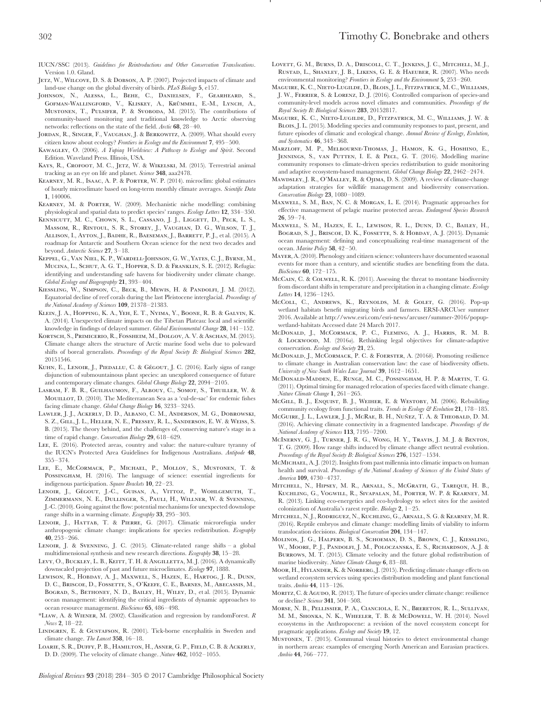IUCN/SSC (2013). *Guidelines for Reintroductions and Other Conservation Translocations*. Version 1.0. Gland.

- JETZ, W., WILCOVE, D. S. & DOBSON, A. P. (2007). Projected impacts of climate and land-use change on the global diversity of birds. *PLoS Biology* **5**, e157.
- Johnson, N., Alessa, L., Behe, C., Danielsen, F., Gearheard, S., GOFMAN-WALLINGFORD, V., KLISKEY, A., KRÜMMEL, E.-M., LYNCH, A., Mustonen, T., Pulsifer, P. & Svoboda, M. (2015). The contributions of community-based monitoring and traditional knowledge to Arctic observing networks: reflections on the state of the field. *Arctic* **68**, 28–40.
- JORDAN, R., SINGER, F., VAUGHAN, J. & BERKOWITZ, A. (2009). What should every citizen know about ecology? *Frontiers in Ecology and the Environment* **7**, 495–500.
- Kawagley, O. (2006). *A Yupiaq Worldview: A Pathway to Ecology and Spirit*. Second Edition. Waveland Press. Illinois, USA.
- KAYS, R., CROFOOT, M. C., JETZ, W. & WIKELSKI, M. (2015). Terrestrial animal tracking as an eye on life and planet. *Science* **348**, aaa2478.
- Kearney, M. R., Isaac, A. P. & Porter, W. P. (2014). microclim: global estimates of hourly microclimate based on long-term monthly climate averages. *Scientific Data* **1**, 140006.
- Kearney, M. & Porter, W. (2009). Mechanistic niche modelling: combining physiological and spatial data to predict species' ranges. *Ecology Letters* **12**, 334–350.
- KENNICUTT, M. C., CHOWN, S. L., CASSANO, J. J., LIGGETT, D., PECK, L. S., Massom, R., Rintoul, S. R., Storey, J., Vaughan, D. G., Wilson, T. J., ALLISON, I., AYTON, J., BADHE, R., BAESEMAN, J., BARRETT, P. J., et al. (2015). A roadmap for Antarctic and Southern Ocean science for the next two decades and beyond. *Antarctic Science* **27**, 3–18.
- Keppel, G., Van Niel, K. P., Wardell-Johnson, G. W., Yates, C. J., Byrne, M., Mucina, L., Schut, A. G. T., Hopper, S. D. & Franklin, S. E. (2012). Refugia: identifying and understanding safe havens for biodiversity under climate change. *Global Ecology and Biogeography* **21**, 393–404.
- Kiessling, W., Simpson, C., Beck, B., Mewis, H. & Pandolfi, J. M. (2012). Equatorial decline of reef corals during the last Pleistocene interglacial. *Proceedings of the National Academy of Sciences* **109**, 21378–21383.
- Klein, J. A., Hopping, K. A., Yeh, E. T., Nyima, Y., Boone, R. B. & Galvin, K. A. (2014). Unexpected climate impacts on the Tibetan Plateau: local and scientific knowledge in findings of delayed summer. *Global Environmental Change* **28**, 141–152.
- Kortsch, S., Primicerio, R., Fossheim, M., Dolgov, A. V. & Aschan, M. (2015). Climate change alters the structure of Arctic marine food webs due to poleward shifts of boreal generalists. *Proceedings of the Royal Society B: Biological Sciences* **282**, 20151546.
- KUHN, E., LENOIR, J., PIEDALLU, C. & GÉGOUT, J. C. (2016). Early signs of range disjunction of submountainous plant species: an unexplored consequence of future and contemporary climate changes. *Global Change Biology* **22**, 2094–2105.
- Lasram, F. B. R., Guilhaumon, F., Albouy, C., Somot, S., Thuiller, W. & MOUILLOT, D. (2010). The Mediterranean Sea as a 'cul-de-sac' for endemic fishes facing climate change. *Global Change Biology* **16**, 3233–3245.
- Lawler, J. J., Ackerly, D. D., Albano, C. M., Anderson, M. G., Dobrowski, S. Z., Gill, J. L., Heller, N. E., Pressey, R. L., Sanderson, E. W. & Weiss, S. B. (2015). The theory behind, and the challenges of, conserving nature's stage in a time of rapid change. *Conservation Biology* **29**, 618–629.
- LEE, E. (2016). Protected areas, country and value: the nature-culture tyranny of the IUCN's Protected Area Guidelines for Indigenous Australians. *Antipode* **48**, 355–374.
- Lee, E., McCormack, P., Michael, P., Molloy, S., Mustonen, T. & POSSINGHAM, H. (2016). The language of science: essential ingredients for indigenous participation. *Square Brackets* **10**, 22–23.
- LENOIR, J., GÉGOUT, J.-C., GUISAN, A., VITTOZ, P., WOHLGEMUTH, T., Zimmermann, N. E., Dullinger, S., Pauli, H., Willner, W. & Svenning, J.-C. (2010). Going against the flow: potential mechanisms for unexpected downslope range shifts in a warming climate. *Ecography* **33**, 295–303.
- LENOIR, J., HATTAB, T. & PIERRE, G. (2017). Climatic microrefugia under anthropogenic climate change: implications for species redistribution. *Ecography* **40**, 253–266.
- LENOIR, J. & SVENNING, J. C. (2015). Climate-related range shifts a global multidimensional synthesis and new research directions. *Ecography* **38**, 15–28.
- LEVY, O., BUCKLEY, L. B., KEITT, T. H. & ANGILLETTA, M. J. (2016). A dynamically downscaled projection of past and future microclimates. *Ecology* **97**, 1888.
- Lewison, R., Hobday, A. J., Maxwell, S., Hazen, E., Hartog, J. R., Dunn, D. C., Briscoe, D., Fossette, S., O'Keefe, C. E., Barnes, M., Abecassis, M., BOGRAD, S., BETHONEY, N. D., BAILEY, H., WILEY, D., et al. (2015). Dynamic ocean management: identifying the critical ingredients of dynamic approaches to ocean resource management. *BioScience* **65**, 486–498.
- \*Liaw, A. & Wiener, M. (2002). Classification and regression by randomForest. *R News* **2**, 18–22.
- LINDGREN, E. & GUSTAFSON, R. (2001). Tick-borne encephalitis in Sweden and climate change. *The Lancet* **358**, 16–18.
- Loarie, S. R., Duffy, P. B., Hamilton, H., Asner, G. P., Field, C. B. & Ackerly, D. D. (2009). The velocity of climate change. *Nature* **462**, 1052–1055.
- *Biological Reviews* **93** (2018) 284–305 © 2017 Cambridge Philosophical Society
- Lovett, G. M., Burns, D. A., Driscoll, C. T., Jenkins, J. C., Mitchell, M. J., Rustad, L., Shanley, J. B., Likens, G. E. & Haeuber, R. (2007). Who needs environmental monitoring? *Frontiers in Ecology and the Environment* **5**, 253–260.
- Maguire, K. C., Nieto-Lugilde, D., Blois, J. L., Fitzpatrick, M. C., Williams, J. W., Ferrier, S. & Lorenz, D. J. (2016). Controlled comparison of species-and community-level models across novel climates and communities. *Proceedings of the Royal Society B: Biological Sciences* **283**, 20152817.
- MAGUIRE, K. C., NIETO-LUGILDE, D., FITZPATRICK, M. C., WILLIAMS, J. W. & Blois, J. L. (2015). Modeling species and community responses to past, present, and future episodes of climatic and ecological change. *Annual Review of Ecology, Evolution, and Systematics* **46**, 343–368.
- Marzloff, M. P., Melbourne-Thomas, J., Hamon, K. G., Hoshino, E., JENNINGS, S., VAN PUTTEN, I. E. & PECL, G. T. (2016). Modelling marine community responses to climate-driven species redistribution to guide monitoring and adaptive ecosystem-based management. *Global Change Biology* **22**, 2462–2474.
- Mawdsley, J. R., O'Malley, R. & Ojima, D. S. (2009). A review of climate-change adaptation strategies for wildlife management and biodiversity conservation. *Conservation Biology* **23**, 1080–1089.
- Maxwell, S. M., Ban, N. C. & Morgan, L. E. (2014). Pragmatic approaches for effective management of pelagic marine protected areas. *Endangered Species Research* **26**, 59–74.
- Maxwell, S. M., Hazen, E. L., Lewison, R. L., Dunn, D. C., Bailey, H., BOGRAD, S. J., BRISCOE, D. K., FOSSETTE, S. & HOBDAY, A. J. (2015). Dynamic ocean management: defining and conceptualizing real-time management of the ocean. *Marine Policy* **58**, 42–50.
- Mayer, A. (2010). Phenology and citizen science: volunteers have documented seasonal events for more than a century, and scientific studies are benefiting from the data. *BioScience* **60**, 172–175.
- McCain, C. & Colwell, R. K. (2011). Assessing the threat to montane biodiversity from discordant shifts in temperature and precipitation in a changing climate. *Ecology Letters* **14**, 1236–1245.
- McColl, C., Andrews, K., Reynolds, M. & Golet, G. (2016). Pop-up wetland habitats benefit migrating birds and farmers. ERSI-ARCUser summer 2016. Available at [http://www.esri.com/esri-news/arcuser/summer-2016/popup](http://www.esri.com/esri-news/arcuser/summer-2016/popup-wetland-habitats)[wetland-habitats](http://www.esri.com/esri-news/arcuser/summer-2016/popup-wetland-habitats) Accessed date 24 March 2017.
- McDonald, J., McCormack, P. C., Fleming, A. J., Harris, R. M. B. & Lockwood, M. (2016*a*). Rethinking legal objectives for climate-adaptive conservation. *Ecology and Society* **21**, 25.
- McDonald, J., McCormack, P. C. & Foerster, A. (2016*b*). Promoting resilience to climate change in Australian conservation law: the case of biodiversity offsets. *University of New South Wales Law Journal* **39**, 1612–1651.
- McDonald-Madden, E., Runge, M. C., Possingham, H. P. & Martin, T. G. (2011). Optimal timing for managed relocation of species faced with climate change. *Nature Climate Change* **1**, 261–265.
- McGill, B. J., Enquist, B. J., Weiher, E. & Westoby, M. (2006). Rebuilding community ecology from functional traits. *Trends in Ecology & Evolution* **21**, 178–185.
- McGuire, J. L., Lawler, J. J., McRae, B. H., Nuñez, T. A. & Theobald, D. M. (2016). Achieving climate connectivity in a fragmented landscape. *Proceedings of the National Academy of Sciences* **113**, 7195–7200.
- McInerny, G. J., Turner, J. R. G., Wong, H. Y., Travis, J. M. J. & Benton, T. G. (2009). How range shifts induced by climate change affect neutral evolution. *Proceedings of the Royal Society B: Biological Sciences* **276**, 1527–1534.
- McMICHAEL, A. J. (2012). Insights from past millennia into climatic impacts on human health and survival. *Proceedings of the National Academy of Sciences of the United States of America* **109**, 4730–4737.
- Mitchell, N., Hipsey, M. R., Arnall, S., McGrath, G., Tareque, H. B., Kuchling, G., Vogwill, R., Sivapalan, M., Porter, W. P. & Kearney, M. R. (2013). Linking eco-energetics and eco-hydrology to select sites for the assisted colonization of Australia's rarest reptile. *Biology* **2**, 1–25.
- Mitchell, N. J., Rodriguez, N., Kuchling, G., Arnall, S. G. & Kearney, M. R. (2016). Reptile embryos and climate change: modelling limits of viability to inform translocation decisions. *Biological Conservation* **204**, 134–147.
- Molinos, J. G., Halpern, B. S., Schoeman, D. S., Brown, C. J., Kiessling, W., Moore, P. J., Pandolfi, J. M., Poloczanska, E. S., Richardson, A. J. & Burrows, M. T. (2015). Climate velocity and the future global redistribution of marine biodiversity. *Nature Climate Change* **6**, 83–88.
- MOOR, H., HYLANDER, K. & NORBERG, J. (2015). Predicting climate change effects on wetland ecosystem services using species distribution modeling and plant functional traits. *Ambio* **44**, 113–126.
- Moritz, C. &Agudo, R. (2013). The future of species under climate change: resilience or decline? *Science* **341**, 504–508.
- Morse, N. B., Pellissier, P. A., Cianciola, E. N., Brereton, R. L., Sullivan, M. M., Shonka, N. K., Wheeler, T. B. & McDowell, W. H. (2014). Novel ecosystems in the Anthropocene: a revision of the novel ecosystem concept for pragmatic applications. *Ecology and Society* **19**, 12.
- Mustonen, T. (2015). Communal visual histories to detect environmental change in northern areas: examples of emerging North American and Eurasian practices. *Ambio* **44**, 766–777.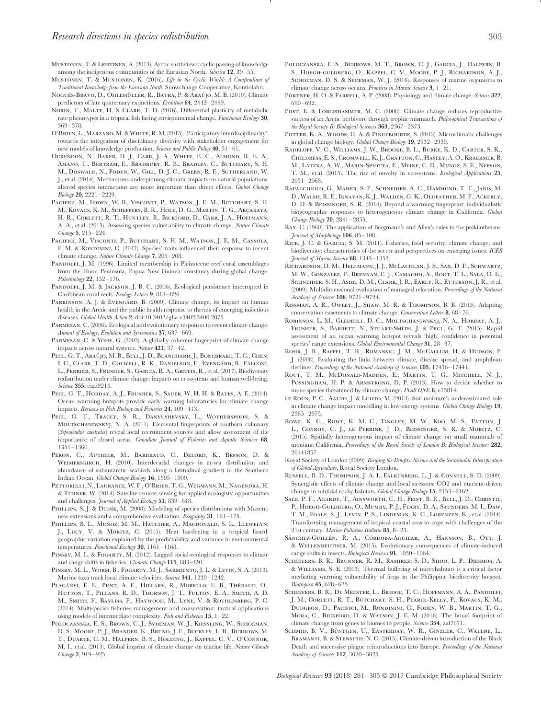Mustonen, T. & Lehtinen, A. (2013). Arctic earthviews: cyclic passing of knowledge among the indigenous communities of the Eurasian North. *Sibirica* **12**, 39–55.

- Mustonen, T. & Mustonen, K. (2016). *Life in the Cyclic World: A Compendium of Traditional Knowledge from the Eurasian North*. Snowchange Cooperative, Kontiolahti.
- NOGUÉS-BRAVO, D., OHLEMÜLLER, R., BATRA, P. & ARAÚJO, M. B. (2010). Climate predictors of late quaternary extinctions. *Evolution* **64**, 2442–2449.
- NORIN, T., MALTE, H. & CLARK, T. D. (2016). Differential plasticity of metabolic rate phenotypes in a tropical fish facing environmental change. *Functional Ecology* **30**, 369–378.
- O'Brien, L., Marzano, M. & White, R. M. (2013). 'Participatory interdisciplinarity': towards the integration of disciplinary diversity with stakeholder engagement for new models of knowledge production. *Science and Public Policy* **40**, 51–61.
- Ockendon, N., Baker, D. J., Carr, J. A., White, E. C., Almond, R. E. A., Amano, T., Bertram, E., Bradbury, R. B., Bradley, C., Butchart, S. H. M., Doswald, N., Foden, W., Gill, D. J. C., Green, R. E., Sutherland, W. J., et al. (2014). Mechanisms underpinning climatic impacts on natural populations: altered species interactions are more important than direct effects. *Global Change Biology* **20**, 2221–2229.
- PACIFICI, M., FODEN, W. B., VISCONTI, P., WATSON, J. E. M., BUTCHART, S. H. M., KOVACS, K. M., SCHEFFERS, B. R., HOLE, D. G., MARTIN, T. G., AKÇAKAYA, H. R., Corlett, R. T., Huntley, B., Bickford, D., Carr, J. A., Hoffmann, A. A., et al. (2015). Assessing species vulnerability to climate change. *Nature Climate Change* **5**, 215–224.
- PACIFICI, M., VISCONTI, P., BUTCHART, S. H. M., WATSON, J. E. M., CASSOLA, F. M. & RONDININI, C. (2017). Species' traits influenced their response to recent climate change. *Nature Climate Change* **7**, 205–208.
- PANDOLFI, J. M. (1996). Limited membership in Pleistocene reef coral assemblages from the Huon Peninsula, Papua New Guinea: constancy during global change. *Paleobiology* **22**, 152–176.
- PANDOLFI, J. M. & JACKSON, J. B. C. (2006). Ecological persistence interrupted in Caribbean coral reefs. *Ecology Letters* **9**, 818–826.
- PARKINSON, A. J. & EVENGÅRD, B. (2009). Climate change, its impact on human health in the Arctic and the public health response to threats of emerging infectious diseases. *Global Health Action* **2**. doi:10.3402/gha.v3402i3400.2075
- Parmesan, C. (2006). Ecological and evolutionary responses to recent climate change. *Annual of Ecology, Evolution and Systematics* **37**, 637–669.
- PARMESAN, C. & YOHE, G. (2003). A globally coherent fingerprint of climate change impacts across natural systems. *Nature* **421**, 37–42.
- Pecl, G. T., Araújo, M. B., Bell, J. D., Blanchard, J., Bonebrake, T. C., Chen, I. C., CLARK, T. D., COLWELL, R. K., DANIELSON, F., EVENGÅRD, B., FALCONI, L., Ferrier, S., Frusher, S., Garcia, R. A., Griffis, R., et al. (2017). Biodiversity redistribution under climate change: impacts on ecosystems and human well-being. *Science* **355**, eaai9214.
- PECL, G. T., HOBDAY, A. J., FRUSHER, S., SAUER, W. H. H. & BATES, A. E. (2014). Ocean warming hotspots provide early warning laboratories for climate change impacts. *Reviews in Fish Biology and Fisheries* **24**, 409–413.
- Pecl, G. T., Tracey, S. R., Danyushevsky, L., Wotherspoon, S. & MOLTSCHANIWSKYJ, N. A. (2011). Elemental fingerprints of southern calamary (*Sepioteuthis australis*) reveal local recruitment sources and allow assessment of the importance of closed areas. *Canadian Journal of Fisheries and Aquatic Sciences* **68**, 1351–1360.
- Péron, C., Authier, M., Barbraud, C., Delord, K., Besson, D. & WEIMERSKIRCH, H. (2010). Interdecadal changes in at-sea distribution and abundance of subantarctic seabirds along a latitudinal gradient in the Southern Indian Ocean. *Global Change Biology* **16**, 1895–1909.
- Pettorelli, N., Laurance, W. F., O'Brien, T. G., Wegmann, M., Nagendra, H. & Turner, W. (2014). Satellite remote sensing for applied ecologists: opportunities and challenges. *Journal of Applied Ecology* **51**, 839–848.
- PHILLIPS, S. J. & DUDÍK, M. (2008). Modeling of species distributions with Maxent: new extensions and a comprehensive evaluation. *Ecography* **31**, 161–175.
- PHILLIPS, B. L., MUÑOZ, M. M., HATCHER, A., MACDONALD, S. L., LLEWELYN, J., LUCY, V. & MORITZ, C. (2015). Heat hardening in a tropical lizard: geographic variation explained by the predictability and variance in environmental temperatures. *Functional Ecology* **30**, 1161–1168.
- PINSKY, M. L. & FOGARTY, M. (2012). Lagged social-ecological responses to climate and range shifts in fisheries. *Climatic Change* **115**, 883–891.
- Pinsky, M. L., Worm, B., Fogarty, M. J., Sarmiento, J. L. & Levin, S. A. (2013). Marine taxa track local climate velocities. *Science* **341**, 1239–1242.
- PLAGÁNYI, É. E., PUNT, A. E., HILLARY, R., MORELLO, E. B., THÉBAUD, O., Hutton, T., Pillans, R. D., Thorson, J. T., Fulton, E. A., Smith, A. D. M., Smith, F., Bayliss, P., Haywood, M., Lyne, V. & Rothlisberg, P. C. (2014). Multispecies fisheries management and conservation: tactical applications using models of intermediate complexity. *Fish and Fisheries* **15**, 1–22.
- Poloczanska, E. S., Brown, C. J., Sydeman, W. J., Kiessling, W., Schoeman, D. S., Moore, P. J., Brander, K., Bruno, J. F., Buckley, L. B., Burrows, M. T., Duarte, C. M., Halpern, B. S., Holding, J., Kappel, C. V., O'Connor, M. I., et al. (2013). Global imprint of climate change on marine life. *Nature Climate Change* **3**, 919–925.
- Poloczanska, E. S., Burrows, M. T., Brown, C. J., Garcia, J., Halpern, B. S., Hoegh-guldberg, O., Kappel, C. V., Moore, P. J., Richardson, A. J., SCHOEMAN, D. S. & SYDEMAN, W. I. (2016). Responses of marine organisms to climate change across oceans. *Frontiers in Marine Science* **3**, 1–21.
- PÖRTNER, H. O. & FARRELL, A. P. (2008). Physiology and climate change. *Science* 322, 690–692.
- POST, E. & FORCHHAMMER, M. C. (2008). Climate change reduces reproductive success of an Arctic herbivore through trophic mismatch. *Philosophical Transactions of the Royal Society B: Biological Sciences* **363**, 2367–2373.
- POTTER, K. A., WOODS, H. A. & PINCEBOURDE, S. (2013). Microclimatic challenges in global change biology. *Global Change Biology* **19**, 2932–2939.
- Radeloff, V. C., Williams, J. W., Brooke, B. L., Burke, K. D., Carter, S. K., Childress, E. S., Cromwell, K. J., Gratton, C., Hasley, A. O., Kraermer, B. M., Latzka, A. W., Marin-Spiotta, E., Meine, C. D., Munoz, S. E., Neeson, T. M., et al. (2015). The rise of novelty in ecosystems. *Ecological Applications* **25**, 2051–2068.
- Rapacciuolo, G., Maher, S. P., Schneider, A. C., Hammond, T. T., Jabis, M. D., Walsh, R. E., Iknayan, K. J., Walden, G. K., Oldfather, M. F., Ackerly, D. D. & Beissinger, S. R. (2014). Beyond a warming fingerprint: individualistic biogeographic responses to heterogeneous climate change in California. *Global Change Biology* **20**, 2841–2855.
- Ray, C. (1960). The application of Bergmann's and Allen's rules to the poikilotherms. *Journal of Morphology* **106**, 85–108.
- Rice, J. C. & Garcia, S. M. (2011). Fisheries, food security, climate change, and biodiversity: characteristics of the sector and perspectives on emerging issues. *ICES Journal of Marine Science* **68**, 1343–1353.
- Richardson, D. M., Hellmann, J. J., McLachlan, J. S., Sax, D. F., Schwartz, M. W., Gonzalez, P., Brennan, E. J., Camacho, A., Root, T. L., Sala, O. E., SCHNEIDER, S. H., ASHE, D. M., CLARK, J. R., EARLY, R., ETTERSON, J. R., et al. (2009). Multidimensional evaluation of managed relocation. *Proceedings of the National Academy of Sciences* **106**, 9721–9724.
- Rissman, A. R., Owley, J., Shaw, M. R. & Thompson, B. B. (2015). Adapting conservation easements to climate change. *Conservation Letters* **8**, 68–76.
- Robinson, L. M., Gledhill, D. C., Moltschaniwskyj, N. A., Hobday, A. J., FRUSHER, S., BARRETT, N., STUART-SMITH, J. & PECL, G. T. (2015). Rapid assessment of an ocean warming hotspot reveals 'high' confidence in potential species' range extensions. *Global Environmental Change* **31**, 28–37.
- Rohr, J. R., Raffel, T. R., Romansic, J. M., McCallum, H. & Hudson, P. J. (2008). Evaluating the links between climate, disease spread, and amphibian declines. *Proceedings of the National Academy of Sciences* **105**, 17436–17441.
- Rout, T. M., McDonald-Madden, E., Martin, T. G., Mitchell, N. J., POSSINGHAM, H. P. & ARMSTRONG, D. P. (2013). How to decide whether to move species threatened by climate change. *PLoS ONE* **8**, e75814.
- LE ROUX, P. C., AALTO, J. & LUOTO, M. (2013). Soil moisture's underestimated role in climate change impact modelling in low-energy systems. *Global Change Biology* **19**, 2965–2975.
- Rowe, K. C., Rowe, K. M. C., Tingley, M. W., Koo, M. S., Patton, J. L., Conroy, C. J., le Perrine, J. D., Beissinger, S. R. & Moritz, C. (2015). Spatially heterogeneous impact of climate change on small mammals of montane California. *Proceedings of the Royal Society of London B: Biological Sciences* **282**, 20141857.
- Royal Society of London (2009). *Reaping the Benefits: Science and the Sustainable Intensification of Global Agriculture*, Royal Society London.
- Russell, B. D., Thompson, J. A. I., Falkenberg, L. J. & Connell, S. D. (2009). Synergistic effects of climate change and local stressors: CO2 and nutrient-driven change in subtidal rocky habitats. *Global Change Biology* **15**, 2153–2162.
- SALE, P. F., AGARDY, T., AINSWORTH, C. H., FEIST, B. E., BELL, J. D., CHRISTIE, P., HOEGH-GULDBERG, O., MUMBY, P.J., FEARY, D. A., SAUNDERS, M. I., DAW, T. M., Foale, S. J., Levin, P. S., Lindeman, K. C., Lorenzen, K., et al. (2014). Transforming management of tropical coastal seas to cope with challenges of the 21st century. *Marine Pollution Bulletin* **85**, 8–23.
- SÁNCHEZ-GUILLÉN, R. A., CÓRDOBA-AGUILAR, A., HANSSON, B., OTT, J. & Wellenreuther, M. (2015). Evolutionary consequences of climate-induced range shifts in insects. *Biological Reviews* **91**, 1050–1064.
- Scheffers, B. R., Brunner, R. M., Ramirez, S. D., Shoo, L. P., Diesmos, A. & Williams, S. E. (2013). Thermal buffering of microhabitats is a critical factor mediating warming vulnerability of frogs in the Philippine biodiversity hotspot. *Biotropica* **45**, 628–635.
- Scheffers, B. R., De Meester, L., Bridge, T. C., Hoffmann, A. A., Pandolfi, J. M., Corlett, R. T., Butchart, S. H., Pearce-Kelly, P., Kovacs, K. M., Dudgeon, D., Pacifici, M., Rondinini, C., Foden, W. B., Martin, T. G., MORA, C., BICKFORD, D. & WATSON, J. E. M. (2016). The broad footprint of climate change from genes to biomes to people. *Science* **354**, aaf7671.
- SCHMID, B. V., BÜNTGEN, U., EASTERDAY, W. R., GINZLER, C., WALLØE, L., Bramanti, B. & Stenseth, N. C. (2015). Climate-driven introduction of the Black Death and successive plague reintroductions into Europe. *Proceedings of the National Academy of Sciences* **112**, 3020–3025.

*Biological Reviews* **93** (2018) 284–305 © 2017 Cambridge Philosophical Society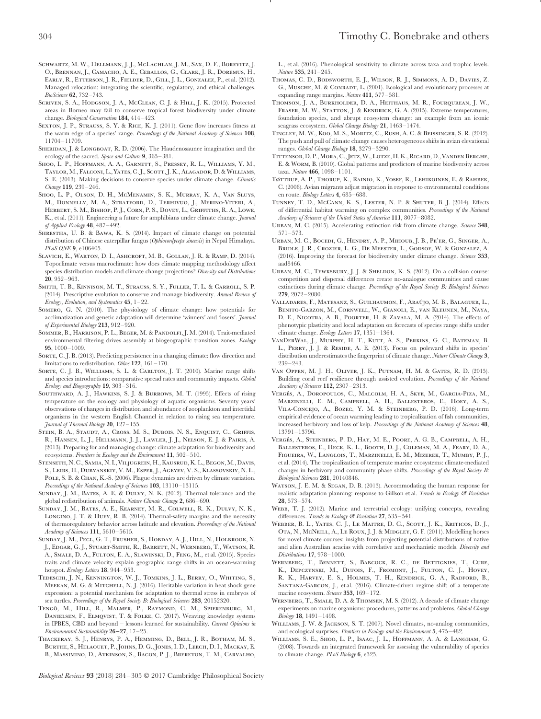- Schwartz, M. W., Hellmann, J. J., McLachlan, J. M., Sax, D. F., Borevitz, J. O., Brennan, J., Camacho, A. E., Ceballos, G., Clark, J. R., Doremus, H., EARLY, R., ETTERSON, J. R., FIELDER, D., GILL, J. L., GONZALEZ, P., et al. (2012). Managed relocation: integrating the scientific, regulatory, and ethical challenges. *BioScience* **62**, 732–743.
- SCRIVEN, S. A., HODGSON, J. A., McCLEAN, C. J. & HILL, J. K. (2015). Protected areas in Borneo may fail to conserve tropical forest biodiversity under climate change. *Biological Conservation* **184**, 414–423.
- Sexton, J. P., Strauss, S. Y. & Rice, K. J. (2011). Gene flow increases fitness at the warm edge of a species' range. *Proceedings of the National Academy of Sciences* **108**, 11704–11709.
- SHERIDAN, J. & LONGBOAT, R. D. (2006). The Haudenosaunee imagination and the ecology of the sacred. *Space and Culture* **9**, 365–381.
- Shoo, L. P., Hoffmann, A. A., Garnett, S., Pressey, R. L., Williams, Y. M., Taylor, M., Falconi, L., Yates, C. J., Scott, J. K., Alagador, D. & Williams, S. E. (2013). Making decisions to conserve species under climate change. *Climatic Change* **119**, 239–246.
- Shoo, L. P., Olson, D. H., McMenamin, S. K., Murray, K. A., Van Sluys, M., Donnelly, M. A., Stratford, D., Terhivuo, J., Merino-Viteri, A., Herbert, S. M., Bishop, P. J., Corn, P. S., Dovey, L., Griffiths, R. A., Lowe, K., et al. (2011). Engineering a future for amphibians under climate change. *Journal of Applied Ecology* **48**, 487–492.
- Shrestha, U. B. & Bawa, K. S. (2014). Impact of climate change on potential distribution of Chinese caterpillar fungus (*Ophiocordyceps sinensis*) in Nepal Himalaya. *PLoS ONE* **9**, e106405.
- Slavich, E., Warton, D. I., Ashcroft, M. B., Gollan, J. R. & Ramp, D. (2014). Topoclimate versus macroclimate: how does climate mapping methodology affect species distribution models and climate change projections? *Diversity and Distributions* **20**, 952–963.
- Smith, T. B., Kinnison, M. T., Strauss, S. Y., Fuller, T. L. & Carroll, S. P. (2014). Prescriptive evolution to conserve and manage biodiversity. *Annual Review of Ecology, Evolution, and Systematics* **45**, 1–22.
- SOMERO, G. N. (2010). The physiology of climate change: how potentials for acclimatization and genetic adaptation will determine 'winners' and 'losers'. *Journal of Experimental Biology* **213**, 912–920.
- SOMMER, B., HARRISON, P. L., BEGER, M. & PANDOLFI, J. M. (2014). Trait-mediated environmental filtering drives assembly at biogeographic transition zones. *Ecology* **95**, 1000–1009.
- Sorte, C. J. B. (2013). Predicting persistence in a changing climate: flow direction and limitations to redistribution. *Oikos* **122**, 161–170.
- SORTE, C. J. B., WILLIAMS, S. L. & CARLTON, J. T. (2010). Marine range shifts and species introductions: comparative spread rates and community impacts. *Global Ecology and Biogeography* **19**, 303–316.
- Southward, A. J., Hawkins, S. J. & Burrows, M. T. (1995). Effects of rising temperature on the ecology and physiology of aquatic organisms. Seventy years' observations of changes in distribution and abundance of zooplankton and intertidal organisms in the western English Channel in relation to rising sea temperature. *Journal of Thermal Biology* **20**, 127–155.
- STEIN, B. A., STAUDT, A., CROSS, M. S., DUBOIS, N. S., ENQUIST, C., GRIFFIS, R., Hansen, L. J., Hellmann, J. J., Lawler, J. J., Nelson, E. J. & Pairis, A. (2013). Preparing for and managing change: climate adaptation for biodiversity and ecosystems. *Frontiers in Ecology and the Environment* **11**, 502–510.
- Stenseth, N. C., Samia, N. I., Viljugrein, H.,Kausrud, K. L., Begon, M., Davis, S., Leirs, H., Dubyanskiy, V. M., Esper, J., Ageyev, V. S., Klassovskiy, N. L., Pole, S. B. & Chan, K.-S. (2006). Plague dynamics are driven by climate variation. *Proceedings of the National Academy of Sciences* **103**, 13110–13115.
- Sunday, J. M., Bates, A. E. & Dulvy, N. K. (2012). Thermal tolerance and the global redistribution of animals. *Nature Climate Change* **2**, 686–690.
- Sunday, J. M., Bates, A. E., Kearney, M. R., Colwell, R. K., Dulvy, N. K., Longino, J. T. & Huey, R. B. (2014). Thermal-safety margins and the necessity of thermoregulatory behavior across latitude and elevation. *Proceedings of the National Academy of Sciences* **111**, 5610–5615.
- Sunday, J. M., Pecl, G. T., Frusher, S., Hobday, A. J., Hill, N., Holbrook, N. J., Edgar, G. J., Stuart-Smith, R., Barrett, N., Wernberg, T., Watson, R. A., Smale, D. A., Fulton, E. A., Slawinski, D., Feng, M., et al. (2015). Species traits and climate velocity explain geographic range shifts in an ocean-warming hotspot. *Ecology Letters* **18**, 944–953.
- Tedeschi, J. N., Kennington, W. J., Tomkins, J. L., Berry, O., Whiting, S., Meekan, M. G. & Mitchell, N. J. (2016). Heritable variation in heat shock gene expression: a potential mechanism for adaptation to thermal stress in embryos of sea turtles. *Proceedings of the Royal Society B: Biological Sciences* **283**, 20152320.
- TENGÖ, M., HILL, R., MALMER, P., RAYMOND, C. M., SPIERENBURG, M., Danielsen, F., Elmqvist, T. & Folke, C. (2017). Weaving knowledge systems in IPBES, CBD and beyond – lessons learned for sustainability. *Current Opinions in Environmental Sustainability* **26–27**, 17–25.
- Thackeray, S. J., Henrys, P. A., Hemming, D., Bell, J. R., Botham, M. S., Burthe, S., Helaouet, P., Johns, D. G., Jones, I. D., Leech, D. I., Mackay, E. B., Massimino, D., Atkinson, S., Bacon, P. J., Brereton, T. M., Carvalho,

L., et al. (2016). Phenological sensitivity to climate across taxa and trophic levels. *Nature* **535**, 241–245.

- Thomas, C. D., Bodsworth, E. J., Wilson, R. J., Simmons, A. D., Davies, Z. G., MUSCHE, M. & CONRADT, L. (2001). Ecological and evolutionary processes at expanding range margins. *Nature* **411**, 577–581.
- Thomson, J. A., Burkholder, D. A., Heithaus, M. R., Fourqurean, J. W., FRASER, M. W., STATTON, J. & KENDRICK, G. A. (2015). Extreme temperatures, foundation species, and abrupt ecosystem change: an example from an iconic seagrass ecosystem. *Global Change Biology* **21**, 1463–1474.
- Tingley, M. W., Koo, M. S., Moritz, C., Rush, A. C. & Beissinger, S. R. (2012). The push and pull of climate change causes heterogeneous shifts in avian elevational ranges. *Global Change Biology* **18**, 3279–3290.
- Tittensor, D. P., Mora, C.,Jetz, W., Lotze, H. K.,Ricard, D.,Vanden Berghe, E. & Worm, B. (2010). Global patterns and predictors of marine biodiversity across taxa. *Nature* **466**, 1098–1101.
- Tøttrup, A. P., Thorup, K., Rainio, K., Yosef, R., Lehikoinen, E. & Rahbek, C. (2008). Avian migrants adjust migration in response to environmental conditions en route. *Biology Letters* **4**, 685–688.
- Tunney, T. D., McCann, K. S., Lester, N. P. & Shuter, B. J. (2014). Effects of differential habitat warming on complex communities. *Proceedings of the National Academy of Sciences of the United States of America* **111**, 8077–8082.
- Urban, M. C. (2015). Accelerating extinction risk from climate change. *Science* **348**, 571–573.
- Urban, M. C., Bocedi, G., Hendry, A. P., Mihoub, J. B., Pe'er, G., Singer, A., Bridle, J. R., Crozier, L. G., De Meester, L., Godsoe, W. & Gonzalez, A. (2016). Improving the forecast for biodiversity under climate change. *Science* **353**, aad8466.
- Urban, M. C., Tewksbury, J. J. & Sheldon, K. S. (2012). On a collision course: competition and dispersal differences create no-analogue communities and cause extinctions during climate change. *Proceedings of the Royal Society B: Biological Sciences* **279**, 2072–2080.
- VALLADARES, F., MATESANZ, S., GUILHAUMON, F., ARAÚJO, M. B., BALAGUER, L., Benito-Garzon, M., Cornwell, W., Gianoli, E., van Kleunen, M., Naya, D. E., Nicotra, A. B., Poorter, H. & Zavala, M. A. (2014). The effects of phenotypic plasticity and local adaptation on forecasts of species range shifts under climate change. *Ecology Letters* **17**, 1351–1364.
- VanDerWal, J., Murphy, H. T., Kutt, A. S., Perkins, G. C., Bateman, B. L., PERRY, J. J. & RESIDE, A. E. (2013). Focus on poleward shifts in species' distribution underestimates the fingerprint of climate change. *Nature Climate Change* **3**, 239–243.
- Van Oppen, M. J. H., Oliver, J. K., Putnam, H. M. & Gates, R. D. (2015). Building coral reef resilience through assisted evolution. *Proceedings of the National Academy of Sciences* **112**, 2307–2313.
- VERGÉS, A., DOROPOULOS, C., MALCOLM, H. A., SKYE, M., GARCIA-PIZA, M., Marzinelli, E. M., Campbell, A. H., Ballesteros, E., Hoey, A. S., Vila-Concejo, A., Bozec, Y. M. & Steinberg, P. D. (2016). Long-term empirical evidence of ocean warming leading to tropicalization of fish communities, increased herbivory and loss of kelp. *Proceedings of the National Academy of Sciences* **48**, 13791–13796.
- VERGÉS, A., STEINBERG, P. D., HAY, M. E., POORE, A. G. B., CAMPBELL, A. H., Ballesteros, E., Heck, K. L., Booth, D. J., Coleman, M. A., Feary, D. A., Figueira, W., Langlois, T., Marzinelli, E. M., Mizerek, T., Mumby, P. J., et al. (2014). The tropicalization of temperate marine ecosystems: climate-mediated changes in herbivory and community phase shifts. *Proceedings of the Royal Society B: Biological Sciences* **281**, 20140846.
- WATSON, J. E. M. & SEGAN, D. B. (2013). Accommodating the human response for realistic adaptation planning: response to Gillson et al. *Trends in Ecology & Evolution* **28**, 573–574.
- WEBB, T. J. (2012). Marine and terrestrial ecology: unifying concepts, revealing differences. *Trends in Ecology & Evolution* **27**, 535–541.
- Webber, B. L., Yates, C. J., Le Maitre, D. C., Scott, J. K., Kriticos, D. J., Ota, N., McNeill, A., Le Roux, J. J. & Midgley, G. F. (2011). Modelling horses for novel climate courses: insights from projecting potential distributions of native and alien Australian acacias with correlative and mechanistic models. *Diversity and Distributions* **17**, 978–1000.
- Wernberg, T., Bennett, S., Babcock, R. C., de Bettignies, T., Cure, K., Depczynski, M., Dufois, F., Fromont, J., Fulton, C. J., Hovey, R. K., Harvey, E. S., Holmes, T. H., Kendrick, G. A., Radford, B., Santana-Garcon, J., et al. (2016). Climate-driven regime shift of a temperate marine ecosystem. *Science* **353**, 169–172.
- Wernberg, T., Smale, D. A. & Thomsen, M. S. (2012). A decade of climate change experiments on marine organisms: procedures, patterns and problems. *Global Change Biology* **18**, 1491–1498.
- WILLIAMS, J. W. & JACKSON, S. T. (2007). Novel climates, no-analog communities, and ecological surprises. *Frontiers in Ecology and the Environment* **5**, 475–482.
- Williams, S. E., Shoo, L. P., Isaac, J. L., Hoffmann, A. A. & Langham, G. (2008). Towards an integrated framework for assessing the vulnerability of species to climate change. *PLoS Biology* **6**, e325.